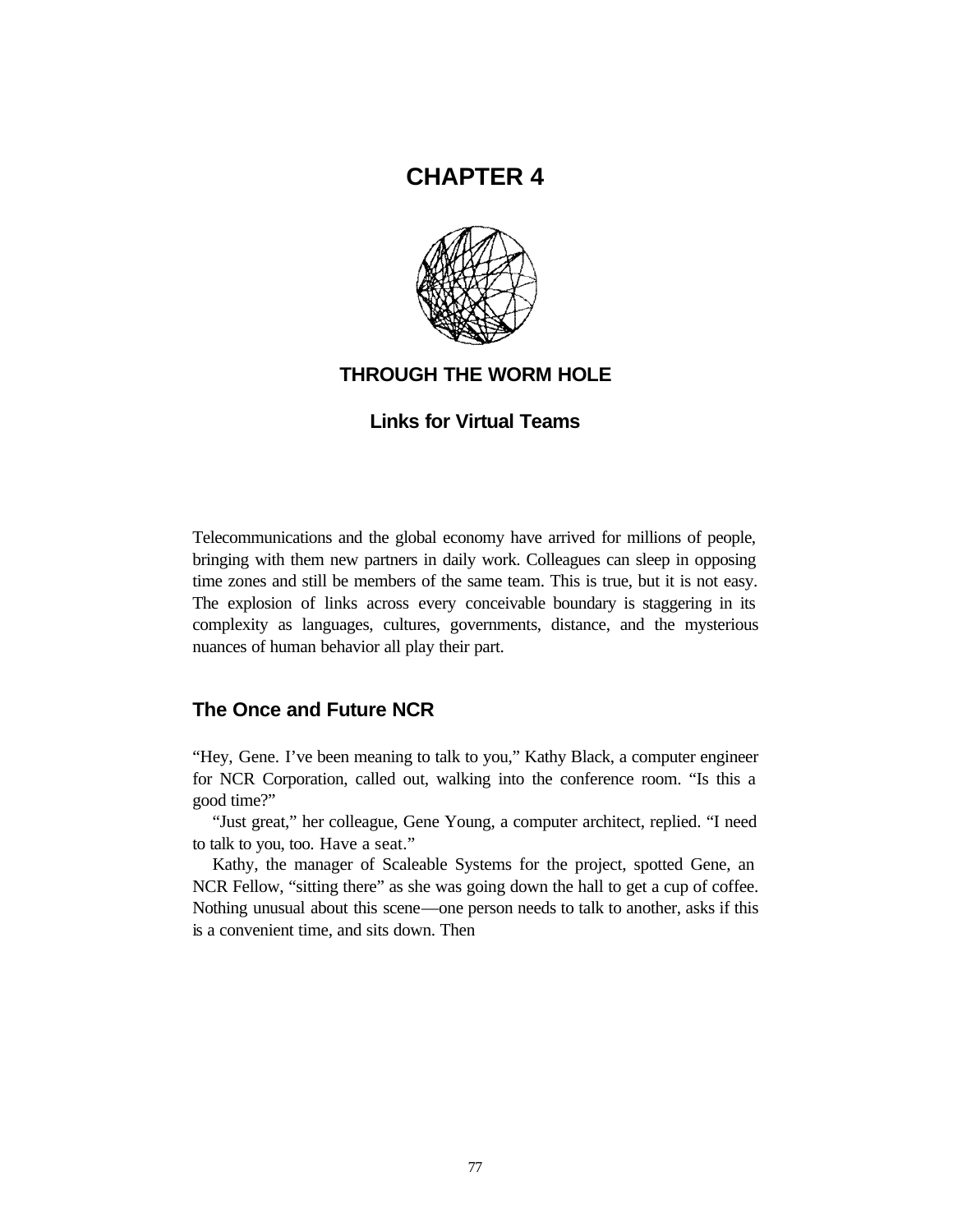# **CHAPTER 4**



## **THROUGH THE WORM HOLE**

## **Links for Virtual Teams**

Telecommunications and the global economy have arrived for millions of people, bringing with them new partners in daily work. Colleagues can sleep in opposing time zones and still be members of the same team. This is true, but it is not easy. The explosion of links across every conceivable boundary is staggering in its complexity as languages, cultures, governments, distance, and the mysterious nuances of human behavior all play their part.

## **The Once and Future NCR**

"Hey, Gene. I've been meaning to talk to you," Kathy Black, a computer engineer for NCR Corporation, called out, walking into the conference room. "Is this a good time?"

"Just great," her colleague, Gene Young, a computer architect, replied. "I need to talk to you, too. Have a seat."

Kathy, the manager of Scaleable Systems for the project, spotted Gene, an NCR Fellow, "sitting there" as she was going down the hall to get a cup of coffee. Nothing unusual about this scene—one person needs to talk to another, asks if this is a convenient time, and sits down. Then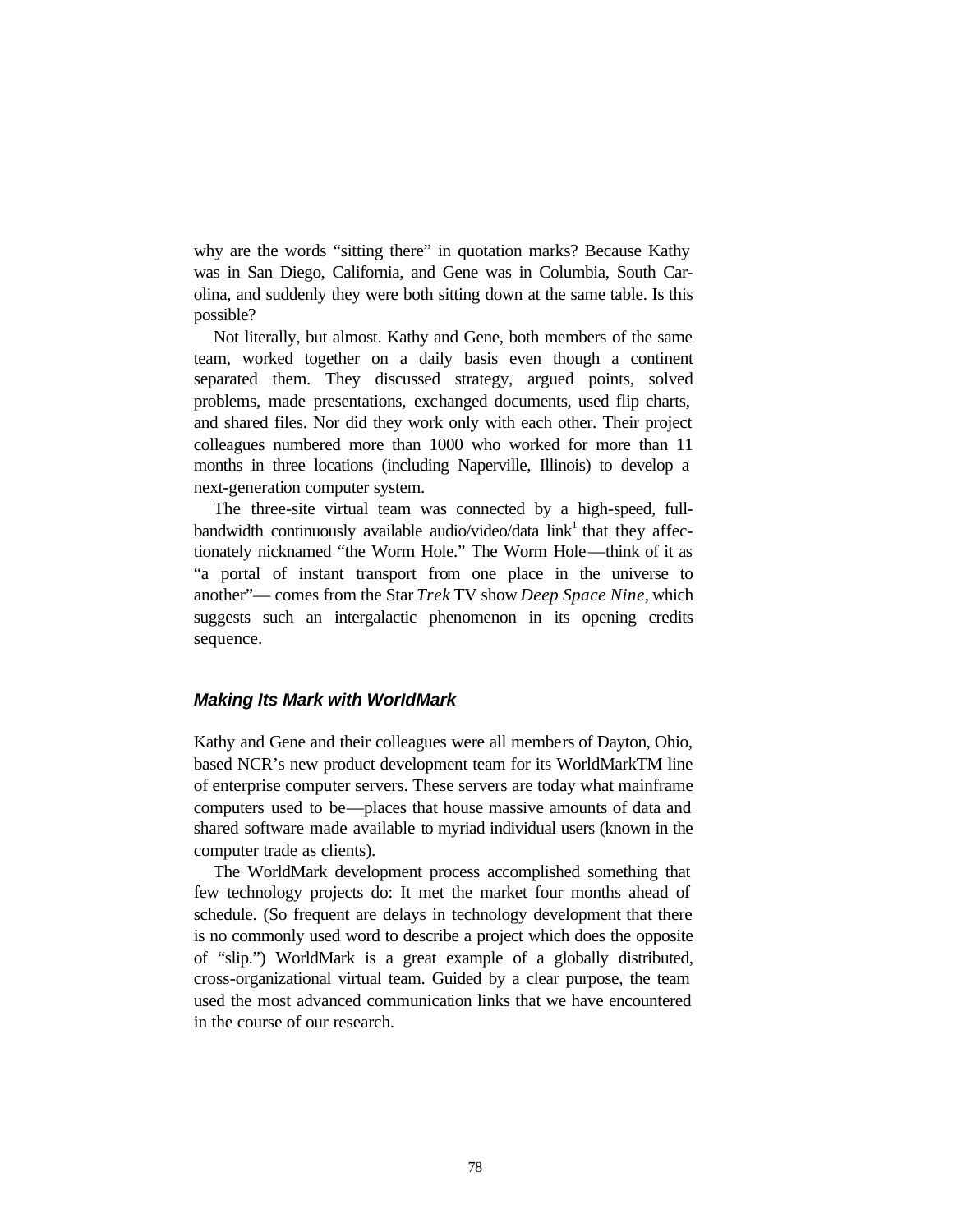why are the words "sitting there" in quotation marks? Because Kathy was in San Diego, California, and Gene was in Columbia, South Carolina, and suddenly they were both sitting down at the same table. Is this possible?

Not literally, but almost. Kathy and Gene, both members of the same team, worked together on a daily basis even though a continent separated them. They discussed strategy, argued points, solved problems, made presentations, exchanged documents, used flip charts, and shared files. Nor did they work only with each other. Their project colleagues numbered more than 1000 who worked for more than 11 months in three locations (including Naperville, Illinois) to develop a next-generation computer system.

The three-site virtual team was connected by a high-speed, fullbandwidth continuously available audio/video/data  $link<sup>1</sup>$  that they affectionately nicknamed "the Worm Hole." The Worm Hole—think of it as "a portal of instant transport from one place in the universe to another"— comes from the Star *Trek* TV show *Deep Space Nine,* which suggests such an intergalactic phenomenon in its opening credits sequence.

#### *Making Its Mark with WorIdMark*

Kathy and Gene and their colleagues were all members of Dayton, Ohio, based NCR's new product development team for its WorldMarkTM line of enterprise computer servers. These servers are today what mainframe computers used to be—places that house massive amounts of data and shared software made available to myriad individual users (known in the computer trade as clients).

The WorldMark development process accomplished something that few technology projects do: It met the market four months ahead of schedule. (So frequent are delays in technology development that there is no commonly used word to describe a project which does the opposite of "slip.") WorldMark is a great example of a globally distributed, cross-organizational virtual team. Guided by a clear purpose, the team used the most advanced communication links that we have encountered in the course of our research.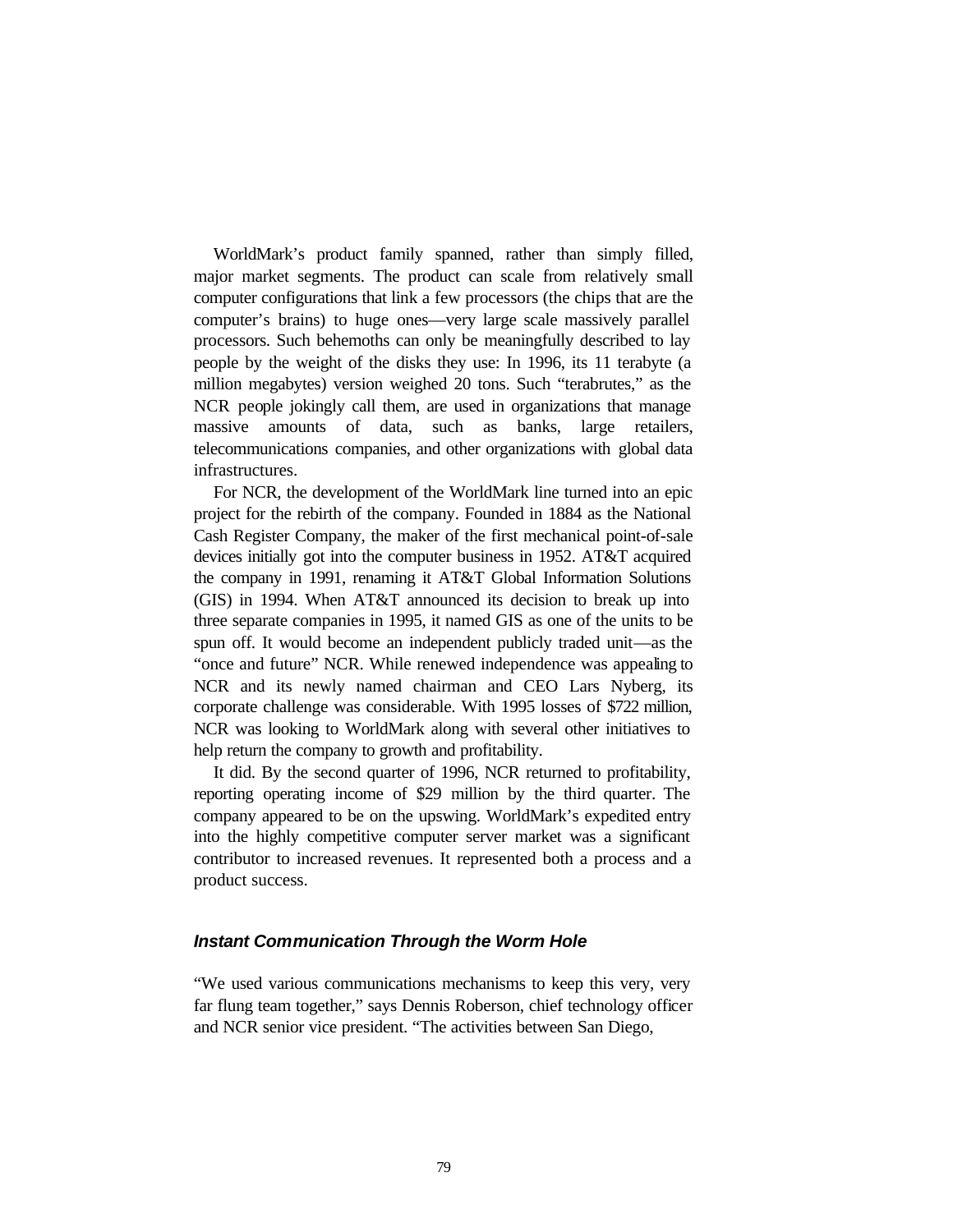WorldMark's product family spanned, rather than simply filled, major market segments. The product can scale from relatively small computer configurations that link a few processors (the chips that are the computer's brains) to huge ones—very large scale massively parallel processors. Such behemoths can only be meaningfully described to lay people by the weight of the disks they use: In 1996, its 11 terabyte (a million megabytes) version weighed 20 tons. Such "terabrutes," as the NCR people jokingly call them, are used in organizations that manage massive amounts of data, such as banks, large retailers, telecommunications companies, and other organizations with global data infrastructures.

For NCR, the development of the WorldMark line turned into an epic project for the rebirth of the company. Founded in 1884 as the National Cash Register Company, the maker of the first mechanical point-of-sale devices initially got into the computer business in 1952. AT&T acquired the company in 1991, renaming it AT&T Global Information Solutions (GIS) in 1994. When AT&T announced its decision to break up into three separate companies in 1995, it named GIS as one of the units to be spun off. It would become an independent publicly traded unit—as the "once and future" NCR. While renewed independence was appealing to NCR and its newly named chairman and CEO Lars Nyberg, its corporate challenge was considerable. With 1995 losses of \$722 million, NCR was looking to WorldMark along with several other initiatives to help return the company to growth and profitability.

It did. By the second quarter of 1996, NCR returned to profitability, reporting operating income of \$29 million by the third quarter. The company appeared to be on the upswing. WorldMark's expedited entry into the highly competitive computer server market was a significant contributor to increased revenues. It represented both a process and a product success.

## *Instant Communication Through the Worm Hole*

"We used various communications mechanisms to keep this very, very far flung team together," says Dennis Roberson, chief technology officer and NCR senior vice president. "The activities between San Diego,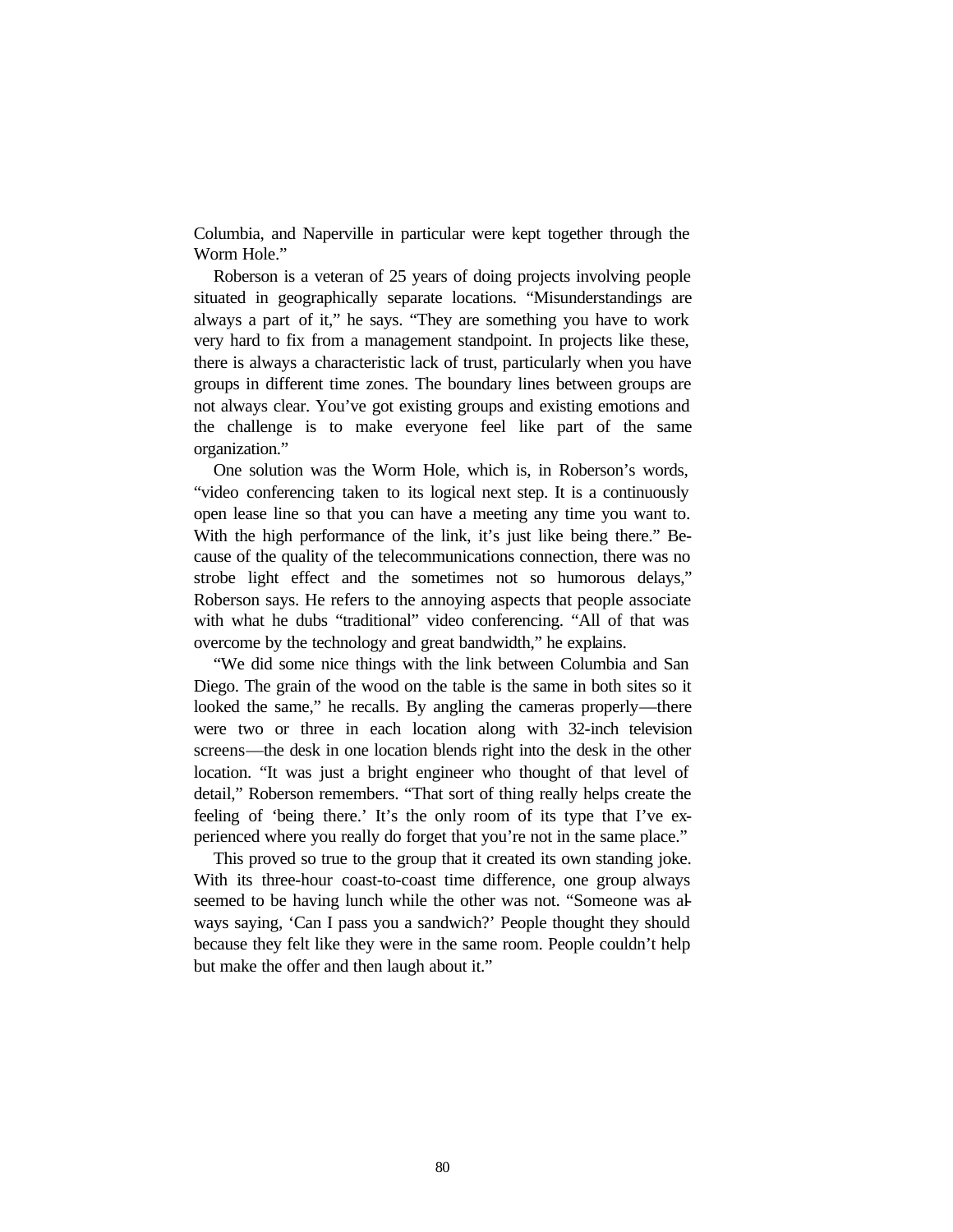Columbia, and Naperville in particular were kept together through the Worm Hole."

Roberson is a veteran of 25 years of doing projects involving people situated in geographically separate locations. "Misunderstandings are always a part of it," he says. "They are something you have to work very hard to fix from a management standpoint. In projects like these, there is always a characteristic lack of trust, particularly when you have groups in different time zones. The boundary lines between groups are not always clear. You've got existing groups and existing emotions and the challenge is to make everyone feel like part of the same organization."

One solution was the Worm Hole, which is, in Roberson's words, "video conferencing taken to its logical next step. It is a continuously open lease line so that you can have a meeting any time you want to. With the high performance of the link, it's just like being there." Because of the quality of the telecommunications connection, there was no strobe light effect and the sometimes not so humorous delays," Roberson says. He refers to the annoying aspects that people associate with what he dubs "traditional" video conferencing. "All of that was overcome by the technology and great bandwidth," he explains.

"We did some nice things with the link between Columbia and San Diego. The grain of the wood on the table is the same in both sites so it looked the same," he recalls. By angling the cameras properly—there were two or three in each location along with 32-inch television screens—the desk in one location blends right into the desk in the other location. "It was just a bright engineer who thought of that level of detail," Roberson remembers. "That sort of thing really helps create the feeling of 'being there.' It's the only room of its type that I've experienced where you really do forget that you're not in the same place."

This proved so true to the group that it created its own standing joke. With its three-hour coast-to-coast time difference, one group always seemed to be having lunch while the other was not. "Someone was always saying, 'Can I pass you a sandwich?' People thought they should because they felt like they were in the same room. People couldn't help but make the offer and then laugh about it."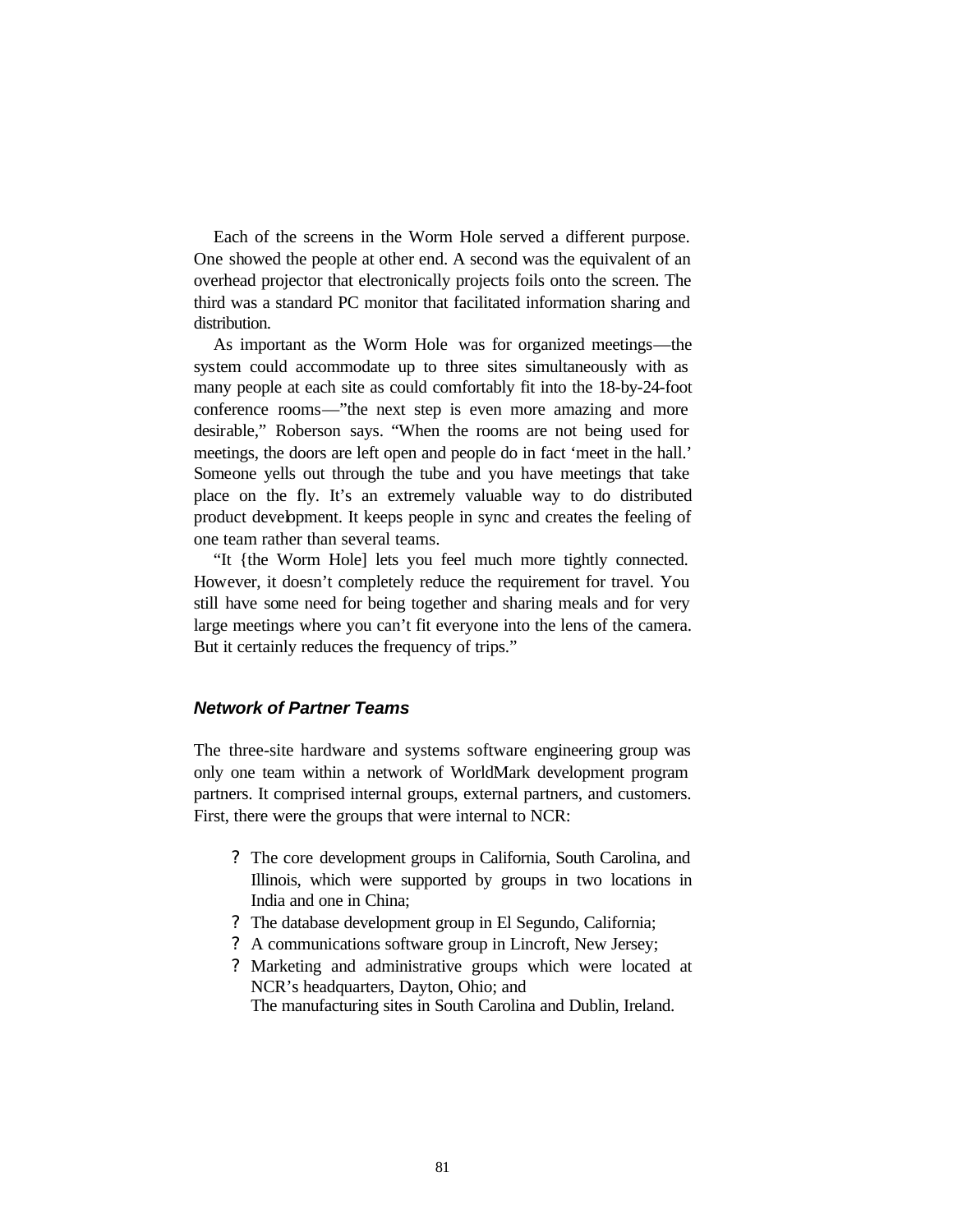Each of the screens in the Worm Hole served a different purpose. One showed the people at other end. A second was the equivalent of an overhead projector that electronically projects foils onto the screen. The third was a standard PC monitor that facilitated information sharing and distribution.

As important as the Worm Hole was for organized meetings—the system could accommodate up to three sites simultaneously with as many people at each site as could comfortably fit into the 18-by-24-foot conference rooms—"the next step is even more amazing and more desirable," Roberson says. "When the rooms are not being used for meetings, the doors are left open and people do in fact 'meet in the hall.' Someone yells out through the tube and you have meetings that take place on the fly. It's an extremely valuable way to do distributed product development. It keeps people in sync and creates the feeling of one team rather than several teams.

"It {the Worm Hole] lets you feel much more tightly connected. However, it doesn't completely reduce the requirement for travel. You still have some need for being together and sharing meals and for very large meetings where you can't fit everyone into the lens of the camera. But it certainly reduces the frequency of trips."

## *Network of Partner Teams*

The three-site hardware and systems software engineering group was only one team within a network of WorldMark development program partners. It comprised internal groups, external partners, and customers. First, there were the groups that were internal to NCR:

- ? The core development groups in California, South Carolina, and Illinois, which were supported by groups in two locations in India and one in China;
- ? The database development group in El Segundo, California;
- ? A communications software group in Lincroft, New Jersey;
- ? Marketing and administrative groups which were located at NCR's headquarters, Dayton, Ohio; and The manufacturing sites in South Carolina and Dublin, Ireland.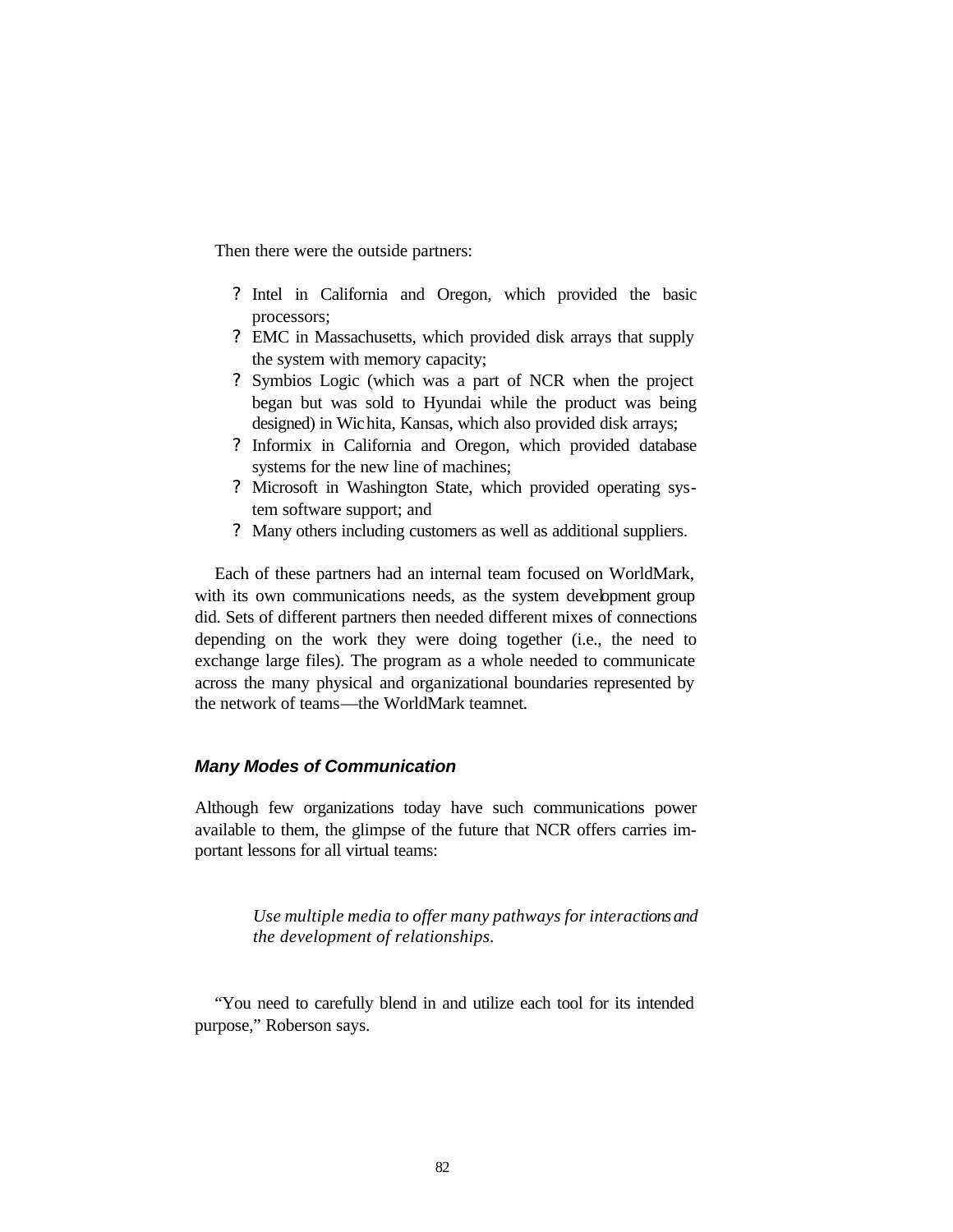Then there were the outside partners:

- ? Intel in California and Oregon, which provided the basic processors;
- ? EMC in Massachusetts, which provided disk arrays that supply the system with memory capacity;
- ? Symbios Logic (which was a part of NCR when the project began but was sold to Hyundai while the product was being designed) in Wichita, Kansas, which also provided disk arrays;
- ? Informix in California and Oregon, which provided database systems for the new line of machines;
- ? Microsoft in Washington State, which provided operating system software support; and
- ? Many others including customers as well as additional suppliers.

Each of these partners had an internal team focused on WorldMark, with its own communications needs, as the system development group did. Sets of different partners then needed different mixes of connections depending on the work they were doing together (i.e., the need to exchange large files). The program as a whole needed to communicate across the many physical and organizational boundaries represented by the network of teams—the WorldMark teamnet.

## *Many Modes of Communication*

Although few organizations today have such communications power available to them, the glimpse of the future that NCR offers carries important lessons for all virtual teams:

> *Use multiple media to offer many pathways for interactions and the development of relationships.*

"You need to carefully blend in and utilize each tool for its intended purpose," Roberson says.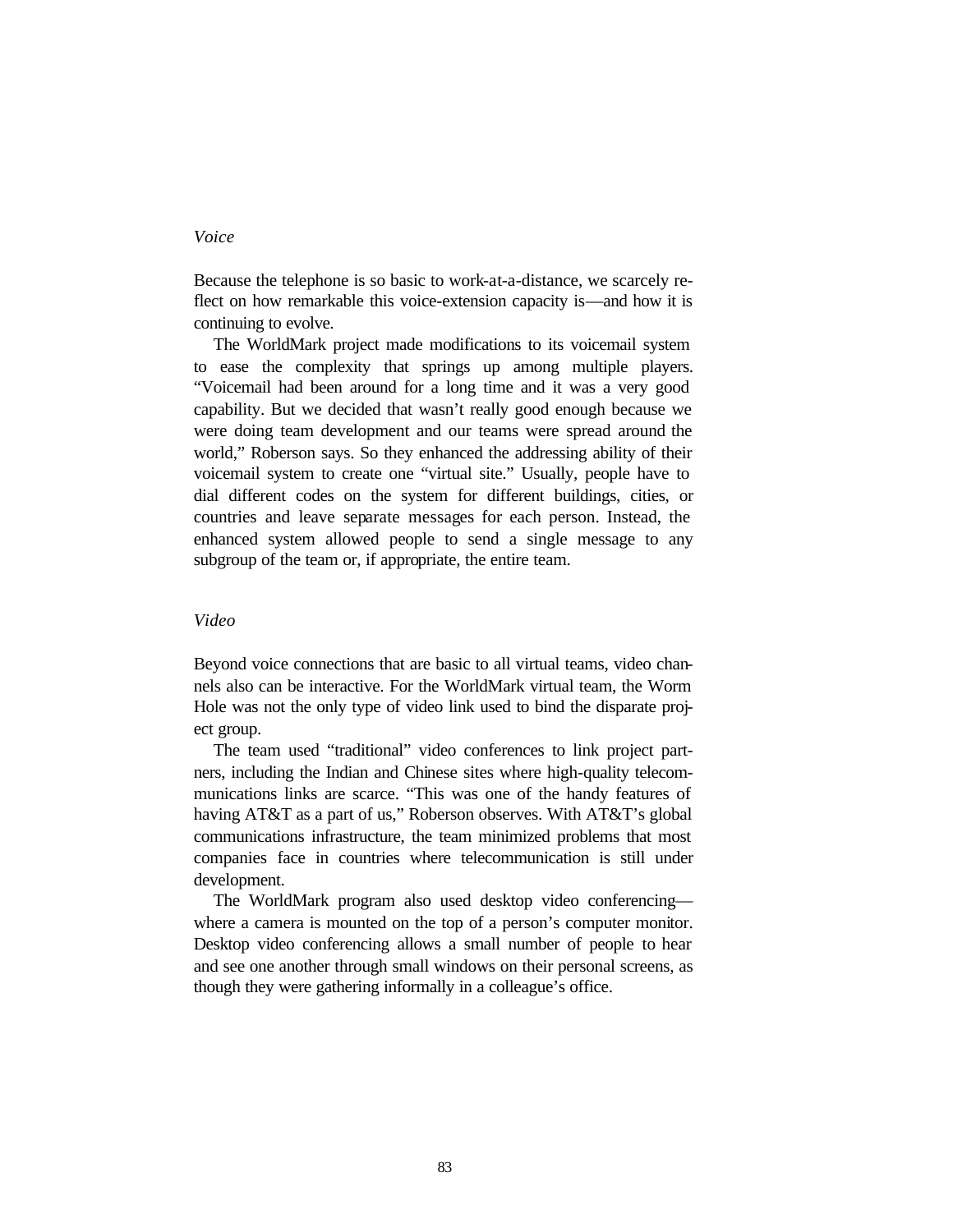### *Voice*

Because the telephone is so basic to work-at-a-distance, we scarcely reflect on how remarkable this voice-extension capacity is—and how it is continuing to evolve.

The WorldMark project made modifications to its voicemail system to ease the complexity that springs up among multiple players. "Voicemail had been around for a long time and it was a very good capability. But we decided that wasn't really good enough because we were doing team development and our teams were spread around the world," Roberson says. So they enhanced the addressing ability of their voicemail system to create one "virtual site." Usually, people have to dial different codes on the system for different buildings, cities, or countries and leave separate messages for each person. Instead, the enhanced system allowed people to send a single message to any subgroup of the team or, if appropriate, the entire team.

#### *Video*

Beyond voice connections that are basic to all virtual teams, video channels also can be interactive. For the WorldMark virtual team, the Worm Hole was not the only type of video link used to bind the disparate project group.

The team used "traditional" video conferences to link project partners, including the Indian and Chinese sites where high-quality telecommunications links are scarce. "This was one of the handy features of having AT&T as a part of us," Roberson observes. With AT&T's global communications infrastructure, the team minimized problems that most companies face in countries where telecommunication is still under development.

The WorldMark program also used desktop video conferencing where a camera is mounted on the top of a person's computer monitor. Desktop video conferencing allows a small number of people to hear and see one another through small windows on their personal screens, as though they were gathering informally in a colleague's office.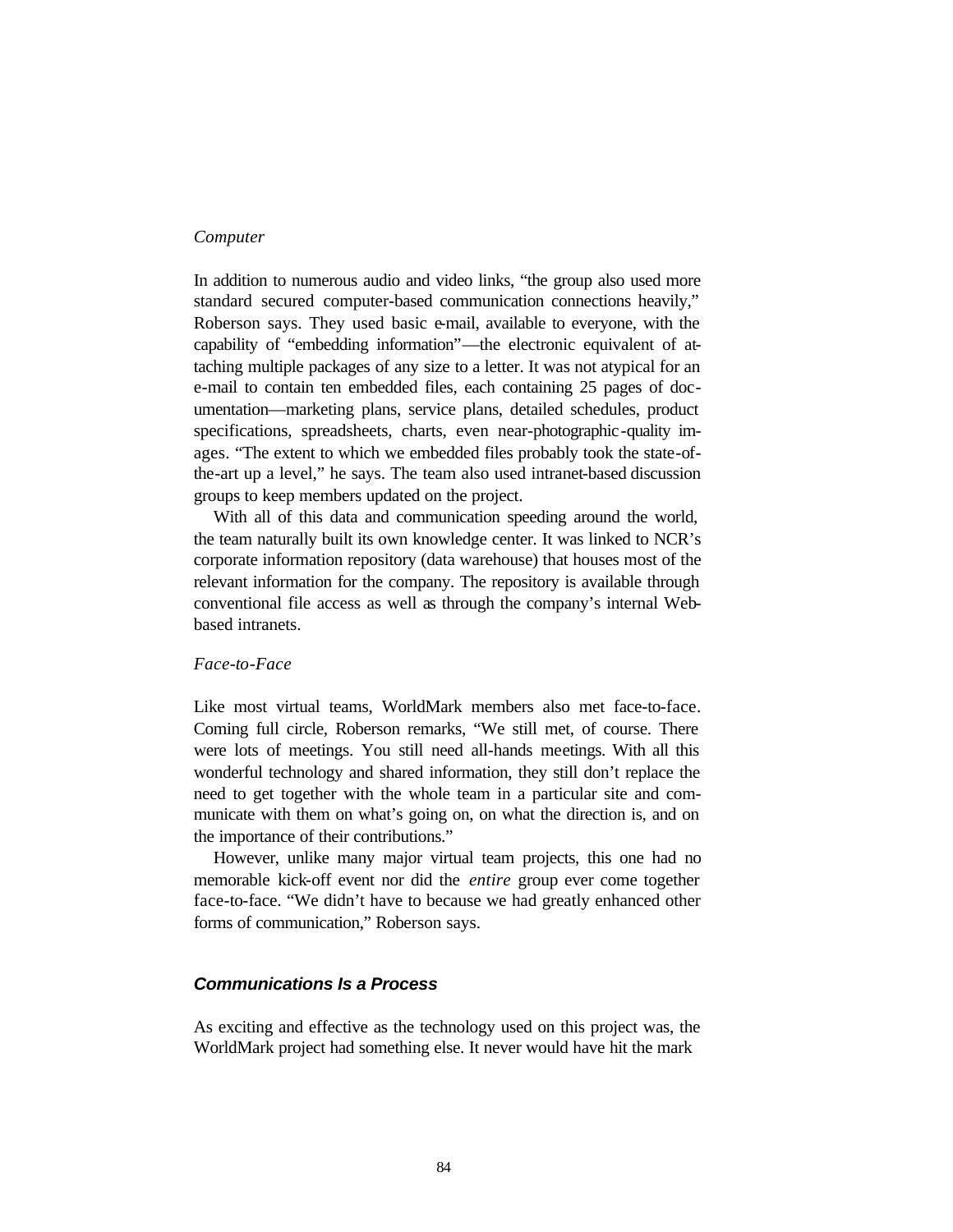#### *Computer*

In addition to numerous audio and video links, "the group also used more standard secured computer-based communication connections heavily," Roberson says. They used basic e-mail, available to everyone, with the capability of "embedding information"—the electronic equivalent of attaching multiple packages of any size to a letter. It was not atypical for an e-mail to contain ten embedded files, each containing 25 pages of documentation—marketing plans, service plans, detailed schedules, product specifications, spreadsheets, charts, even near-photographic-quality images. "The extent to which we embedded files probably took the state-ofthe-art up a level," he says. The team also used intranet-based discussion groups to keep members updated on the project.

With all of this data and communication speeding around the world, the team naturally built its own knowledge center. It was linked to NCR's corporate information repository (data warehouse) that houses most of the relevant information for the company. The repository is available through conventional file access as well as through the company's internal Webbased intranets.

#### *Face-to-Face*

Like most virtual teams, WorldMark members also met face-to-face. Coming full circle, Roberson remarks, "We still met, of course. There were lots of meetings. You still need all-hands meetings. With all this wonderful technology and shared information, they still don't replace the need to get together with the whole team in a particular site and communicate with them on what's going on, on what the direction is, and on the importance of their contributions."

However, unlike many major virtual team projects, this one had no memorable kick-off event nor did the *entire* group ever come together face-to-face. "We didn't have to because we had greatly enhanced other forms of communication," Roberson says.

## *Communications Is a Process*

As exciting and effective as the technology used on this project was, the WorldMark project had something else. It never would have hit the mark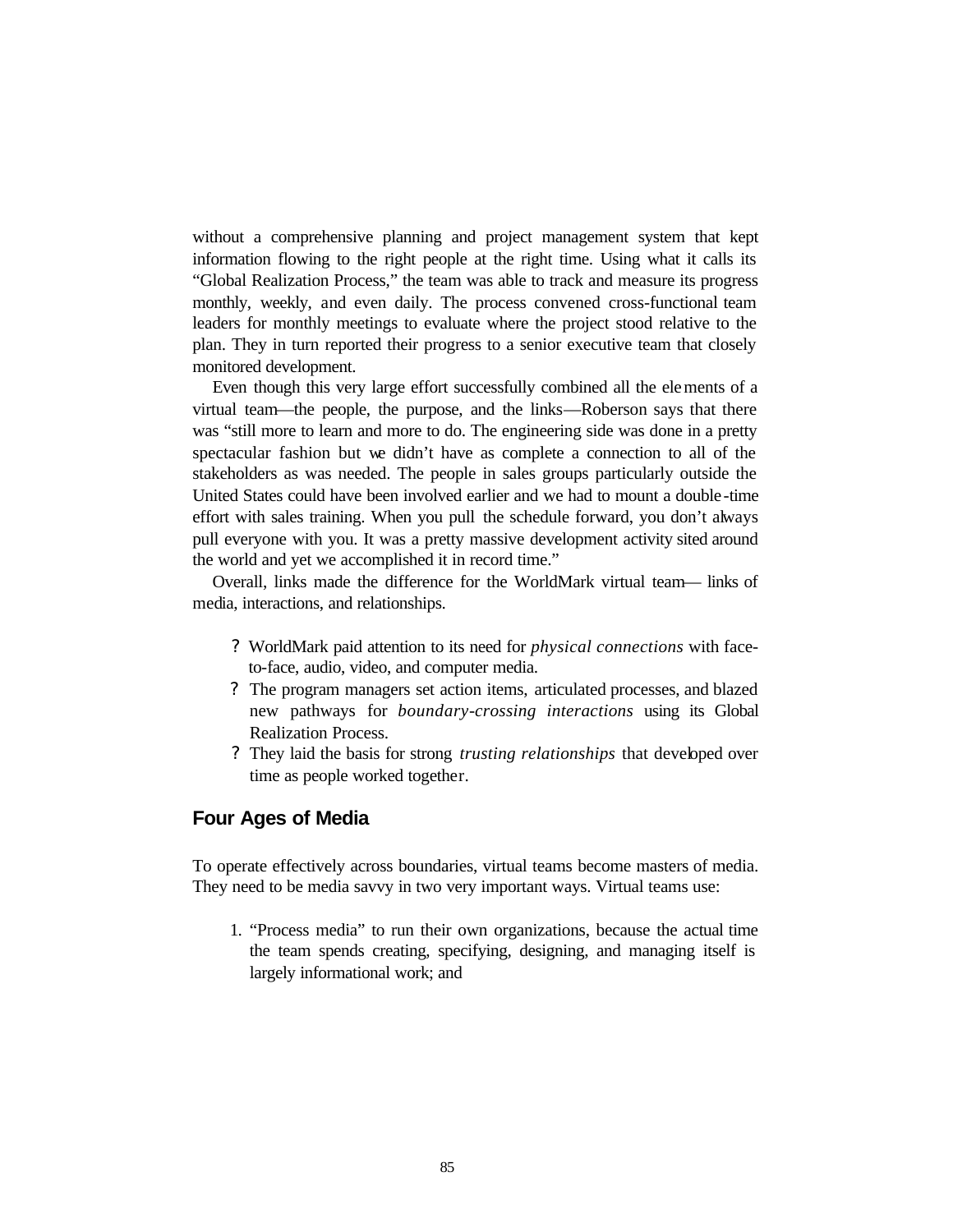without a comprehensive planning and project management system that kept information flowing to the right people at the right time. Using what it calls its "Global Realization Process," the team was able to track and measure its progress monthly, weekly, and even daily. The process convened cross-functional team leaders for monthly meetings to evaluate where the project stood relative to the plan. They in turn reported their progress to a senior executive team that closely monitored development.

Even though this very large effort successfully combined all the elements of a virtual team—the people, the purpose, and the links—Roberson says that there was "still more to learn and more to do. The engineering side was done in a pretty spectacular fashion but we didn't have as complete a connection to all of the stakeholders as was needed. The people in sales groups particularly outside the United States could have been involved earlier and we had to mount a double -time effort with sales training. When you pull the schedule forward, you don't always pull everyone with you. It was a pretty massive development activity sited around the world and yet we accomplished it in record time."

Overall, links made the difference for the WorldMark virtual team— links of media, interactions, and relationships.

- ? WorldMark paid attention to its need for *physical connections* with faceto-face, audio, video, and computer media.
- ? The program managers set action items, articulated processes, and blazed new pathways for *boundary-crossing interactions* using its Global Realization Process.
- ? They laid the basis for strong *trusting relationships* that developed over time as people worked together.

## **Four Ages of Media**

To operate effectively across boundaries, virtual teams become masters of media. They need to be media savvy in two very important ways. Virtual teams use:

1. "Process media" to run their own organizations, because the actual time the team spends creating, specifying, designing, and managing itself is largely informational work; and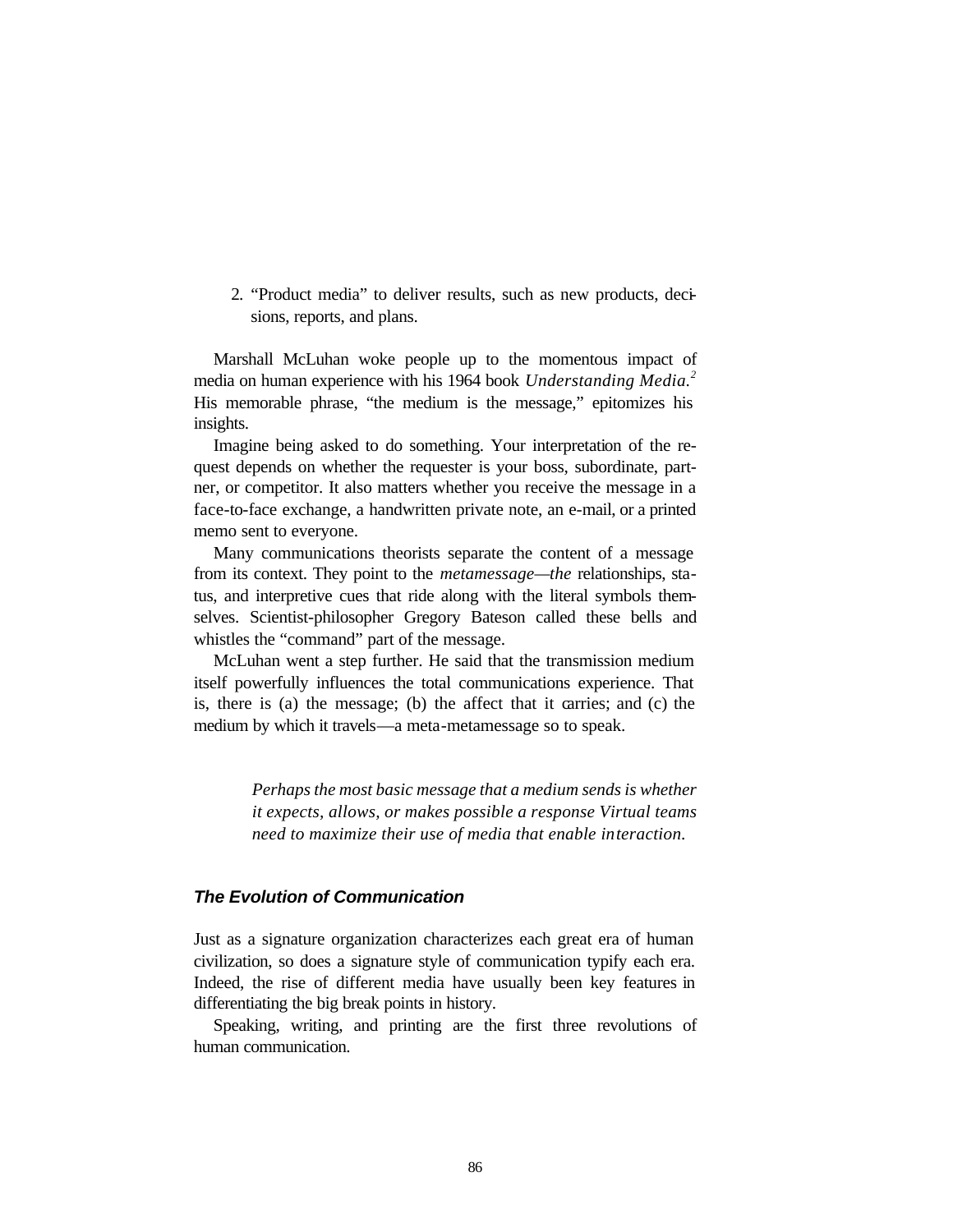2. "Product media" to deliver results, such as new products, decisions, reports, and plans.

Marshall McLuhan woke people up to the momentous impact of media on human experience with his 1964 book *Understanding Media.<sup>2</sup>* His memorable phrase, "the medium is the message," epitomizes his insights.

Imagine being asked to do something. Your interpretation of the request depends on whether the requester is your boss, subordinate, partner, or competitor. It also matters whether you receive the message in a face-to-face exchange, a handwritten private note, an e-mail, or a printed memo sent to everyone.

Many communications theorists separate the content of a message from its context. They point to the *metamessage—the* relationships, status, and interpretive cues that ride along with the literal symbols themselves. Scientist-philosopher Gregory Bateson called these bells and whistles the "command" part of the message.

McLuhan went a step further. He said that the transmission medium itself powerfully influences the total communications experience. That is, there is (a) the message; (b) the affect that it carries; and (c) the medium by which it travels—a meta-metamessage so to speak.

> *Perhaps the most basic message that a medium sends is whether it expects, allows, or makes possible a response Virtual teams need to maximize their use of media that enable interaction.*

## *The Evolution of Communication*

Just as a signature organization characterizes each great era of human civilization, so does a signature style of communication typify each era. Indeed, the rise of different media have usually been key features in differentiating the big break points in history.

Speaking, writing, and printing are the first three revolutions of human communication.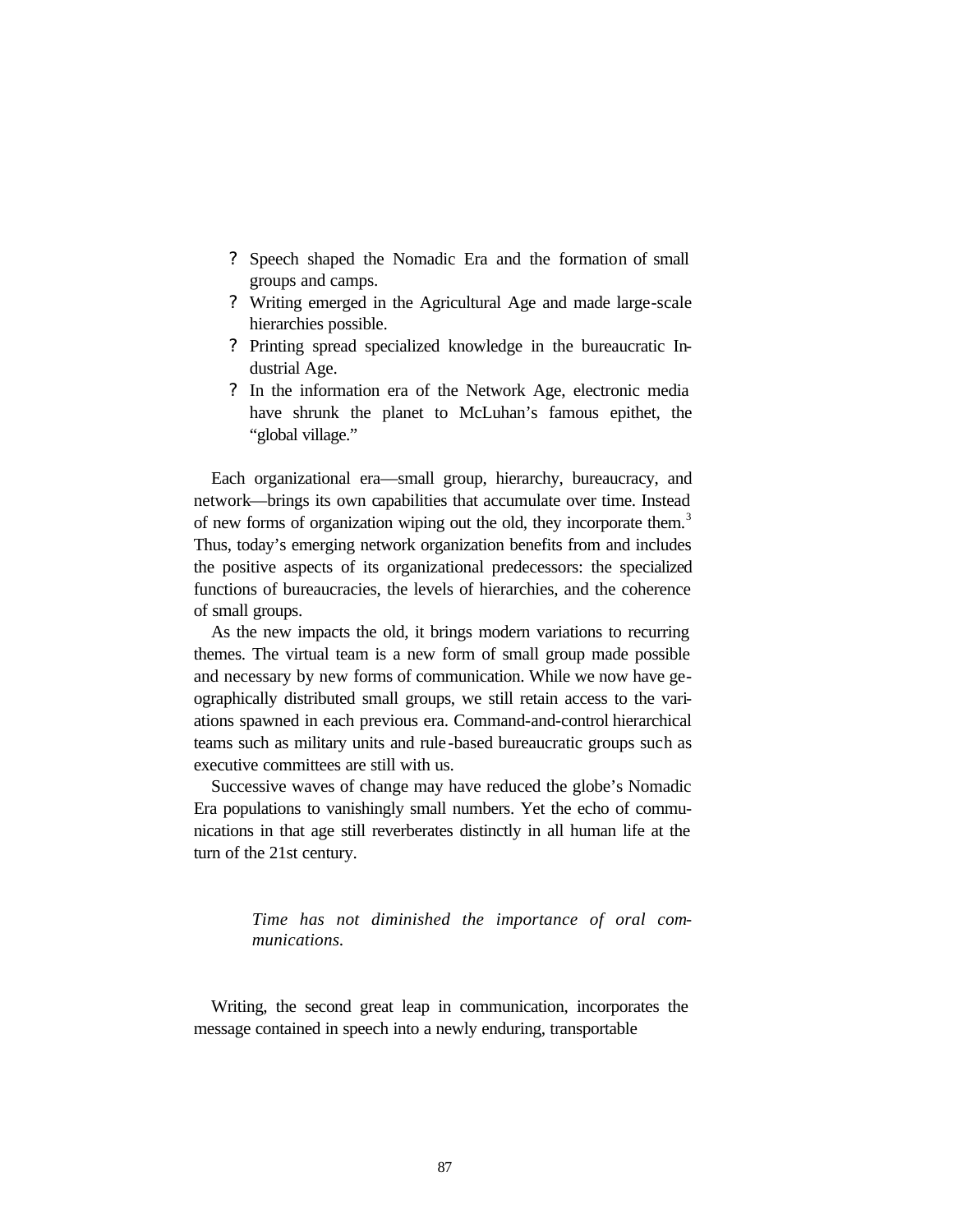- ? Speech shaped the Nomadic Era and the formation of small groups and camps.
- ? Writing emerged in the Agricultural Age and made large-scale hierarchies possible.
- ? Printing spread specialized knowledge in the bureaucratic Industrial Age.
- ? In the information era of the Network Age, electronic media have shrunk the planet to McLuhan's famous epithet, the "global village."

Each organizational era—small group, hierarchy, bureaucracy, and network—brings its own capabilities that accumulate over time. Instead of new forms of organization wiping out the old, they incorporate them.<sup>3</sup> Thus, today's emerging network organization benefits from and includes the positive aspects of its organizational predecessors: the specialized functions of bureaucracies, the levels of hierarchies, and the coherence of small groups.

As the new impacts the old, it brings modern variations to recurring themes. The virtual team is a new form of small group made possible and necessary by new forms of communication. While we now have geographically distributed small groups, we still retain access to the variations spawned in each previous era. Command-and-control hierarchical teams such as military units and rule-based bureaucratic groups such as executive committees are still with us.

Successive waves of change may have reduced the globe's Nomadic Era populations to vanishingly small numbers. Yet the echo of communications in that age still reverberates distinctly in all human life at the turn of the 21st century.

> *Time has not diminished the importance of oral communications.*

Writing, the second great leap in communication, incorporates the message contained in speech into a newly enduring, transportable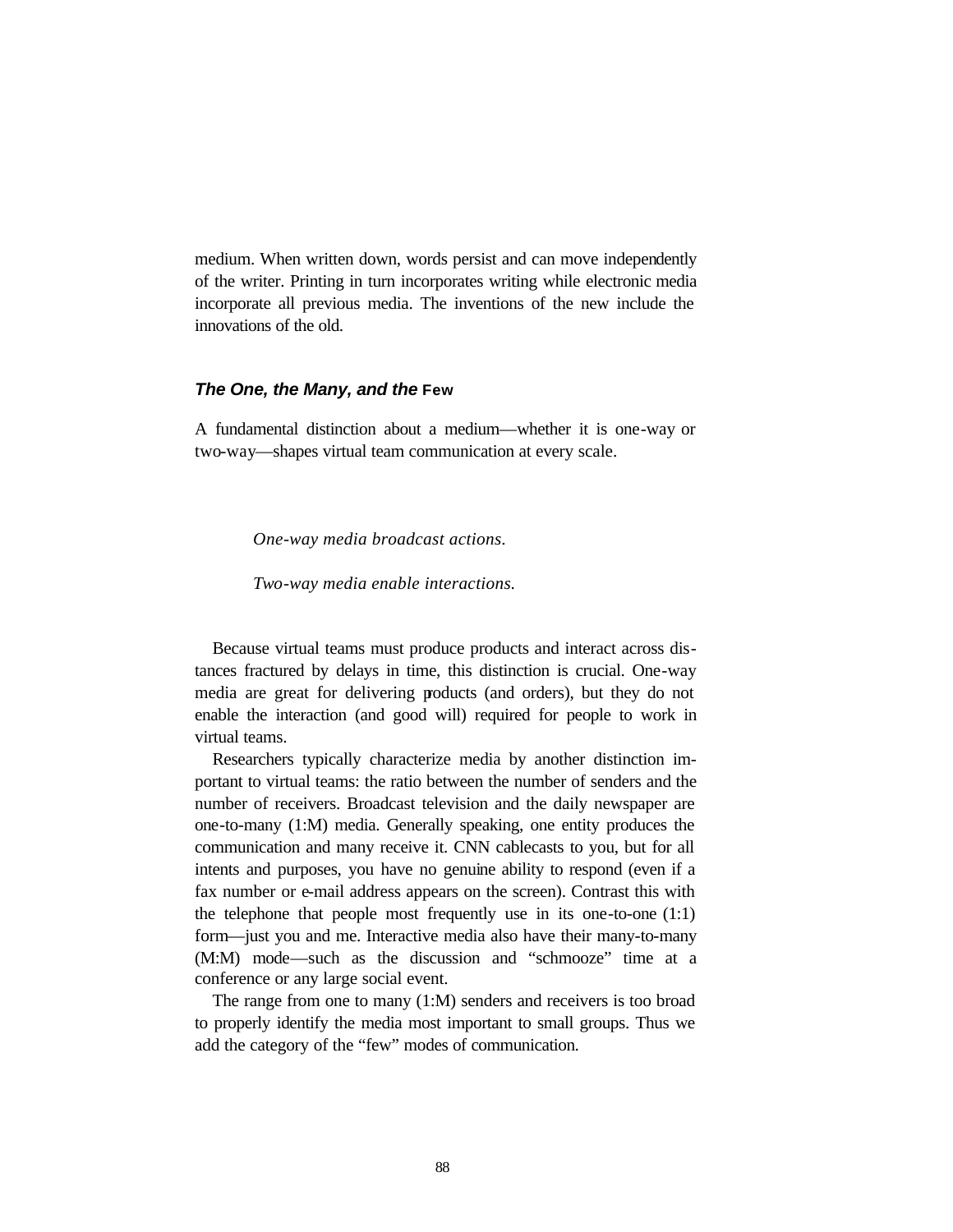medium. When written down, words persist and can move independently of the writer. Printing in turn incorporates writing while electronic media incorporate all previous media. The inventions of the new include the innovations of the old.

#### *The One, the Many, and the* **Few**

A fundamental distinction about a medium—whether it is one-way or two-way—shapes virtual team communication at every scale.

*One-way media broadcast actions.*

*Two-way media enable interactions.*

Because virtual teams must produce products and interact across distances fractured by delays in time, this distinction is crucial. One-way media are great for delivering products (and orders), but they do not enable the interaction (and good will) required for people to work in virtual teams.

Researchers typically characterize media by another distinction important to virtual teams: the ratio between the number of senders and the number of receivers. Broadcast television and the daily newspaper are one-to-many (1:M) media. Generally speaking, one entity produces the communication and many receive it. CNN cablecasts to you, but for all intents and purposes, you have no genuine ability to respond (even if a fax number or e-mail address appears on the screen). Contrast this with the telephone that people most frequently use in its one-to-one (1:1) form—just you and me. Interactive media also have their many-to-many (M:M) mode—such as the discussion and "schmooze" time at a conference or any large social event.

The range from one to many (1:M) senders and receivers is too broad to properly identify the media most important to small groups. Thus we add the category of the "few" modes of communication.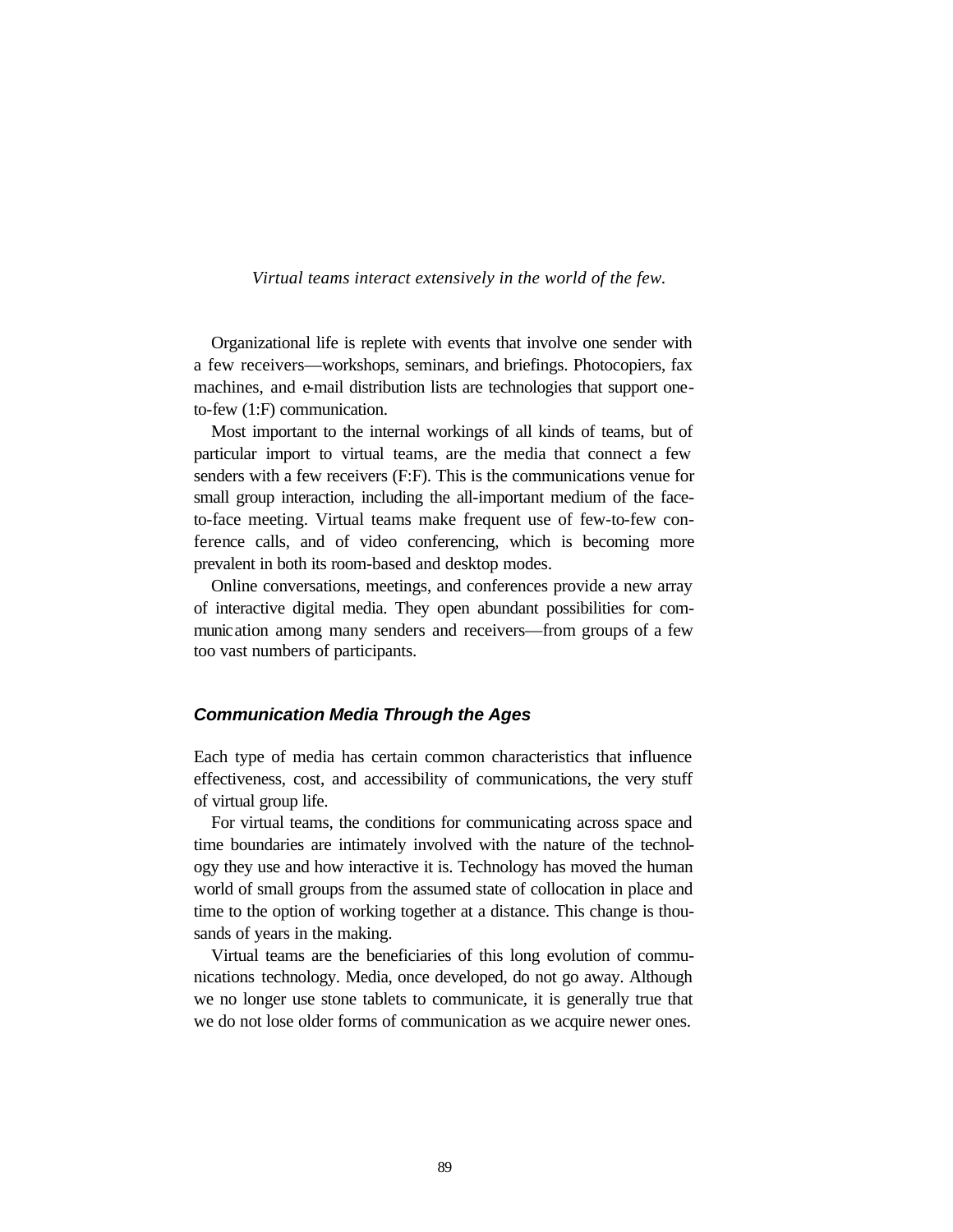#### *Virtual teams interact extensively in the world of the few.*

Organizational life is replete with events that involve one sender with a few receivers—workshops, seminars, and briefings. Photocopiers, fax machines, and e-mail distribution lists are technologies that support oneto-few (1:F) communication.

Most important to the internal workings of all kinds of teams, but of particular import to virtual teams, are the media that connect a few senders with a few receivers (F:F). This is the communications venue for small group interaction, including the all-important medium of the faceto-face meeting. Virtual teams make frequent use of few-to-few conference calls, and of video conferencing, which is becoming more prevalent in both its room-based and desktop modes.

Online conversations, meetings, and conferences provide a new array of interactive digital media. They open abundant possibilities for communication among many senders and receivers—from groups of a few too vast numbers of participants.

#### *Communication Media Through the Ages*

Each type of media has certain common characteristics that influence effectiveness, cost, and accessibility of communications, the very stuff of virtual group life.

For virtual teams, the conditions for communicating across space and time boundaries are intimately involved with the nature of the technology they use and how interactive it is. Technology has moved the human world of small groups from the assumed state of collocation in place and time to the option of working together at a distance. This change is thousands of years in the making.

Virtual teams are the beneficiaries of this long evolution of communications technology. Media, once developed, do not go away. Although we no longer use stone tablets to communicate, it is generally true that we do not lose older forms of communication as we acquire newer ones.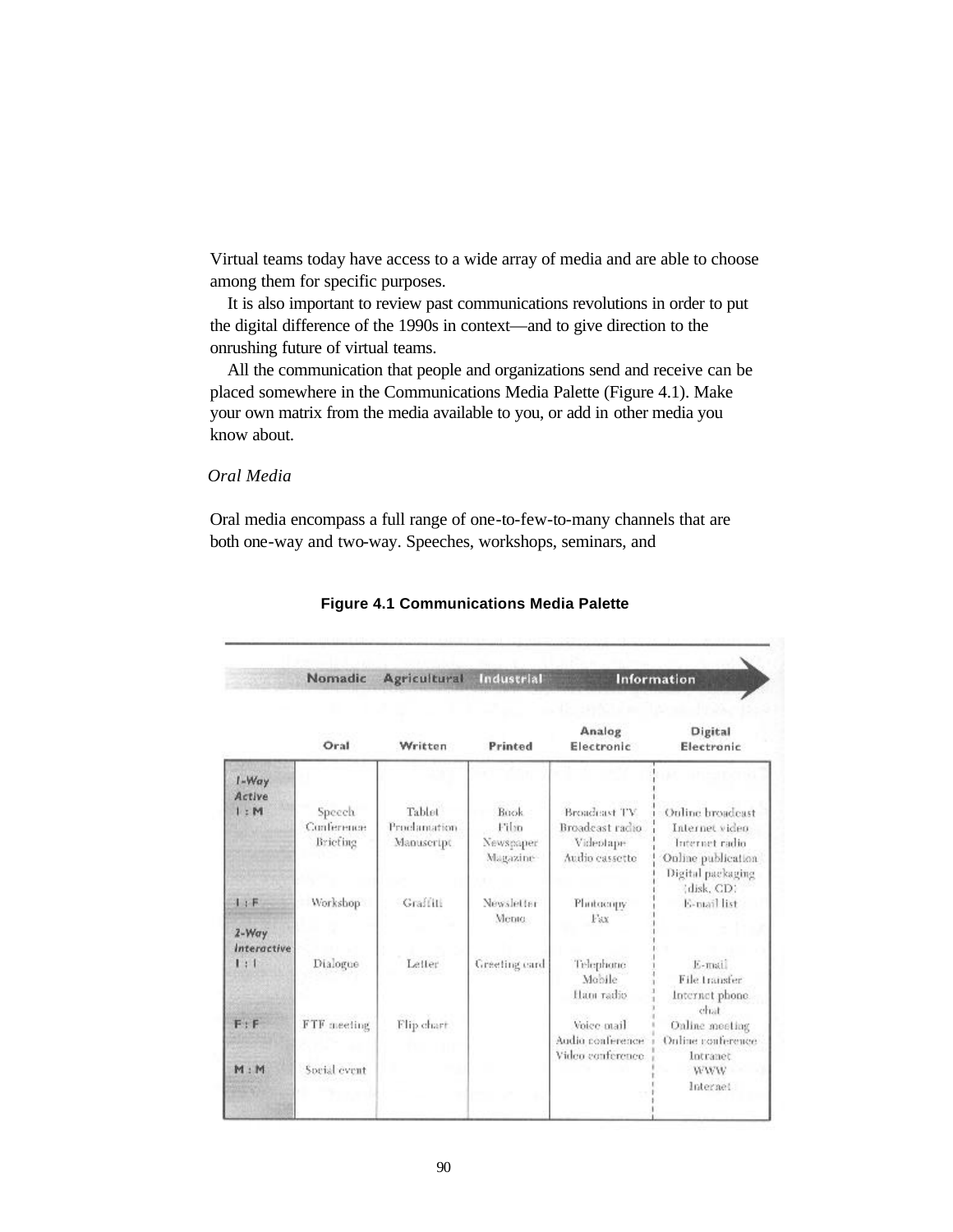Virtual teams today have access to a wide array of media and are able to choose among them for specific purposes.

It is also important to review past communications revolutions in order to put the digital difference of the 1990s in context—and to give direction to the onrushing future of virtual teams.

All the communication that people and organizations send and receive can be placed somewhere in the Communications Media Palette (Figure 4.1). Make your own matrix from the media available to you, or add in other media you know about.

## *Oral Media*

Oral media encompass a full range of one-to-few-to-many channels that are both one-way and two-way. Speeches, workshops, seminars, and

|                          | Nomadic<br>Oral                  | <b>Agricultural</b><br>Written       | Industrial<br>Printed                        | Information                                                    |                                                                                                 |  |
|--------------------------|----------------------------------|--------------------------------------|----------------------------------------------|----------------------------------------------------------------|-------------------------------------------------------------------------------------------------|--|
|                          |                                  |                                      |                                              | Analog<br>Electronic                                           | Digital<br>Electronic                                                                           |  |
| I-Way<br>Active<br>I : M | Speech<br>Conference<br>Briefing | Tablet<br>Proclamation<br>Manuscript | <b>Book</b><br>Film<br>Newspaper<br>Magazine | Broadcast TV<br>Broadcast radio<br>Videotape<br>Audio cassette | Online broadcast<br>Internet video<br>Internet radio<br>Online publication<br>Digital packaging |  |
| 斗小林<br>2-Way             | Workshop                         | Graffith                             | Newsletter<br>Mento                          | Photocopy<br>Fax                                               | disk. CD:<br><b>E-nail</b> list                                                                 |  |
| Interactive<br>1:1       | Dialogue                         | Letter                               | Greeting card                                | Telephone<br>Mobile<br>Hant radio                              | E-mail<br>File transfer<br>Internet phone.<br>chat.                                             |  |
| F : F                    | FTF meeting                      | Flip chart                           |                                              | Voice mail<br>Audio conference<br>Video conference             | Online meeting<br>Online conference<br><b>lotranet</b>                                          |  |
| M : M                    | Social event                     |                                      |                                              |                                                                | WWW<br>Internet                                                                                 |  |

#### **Figure 4.1 Communications Media Palette**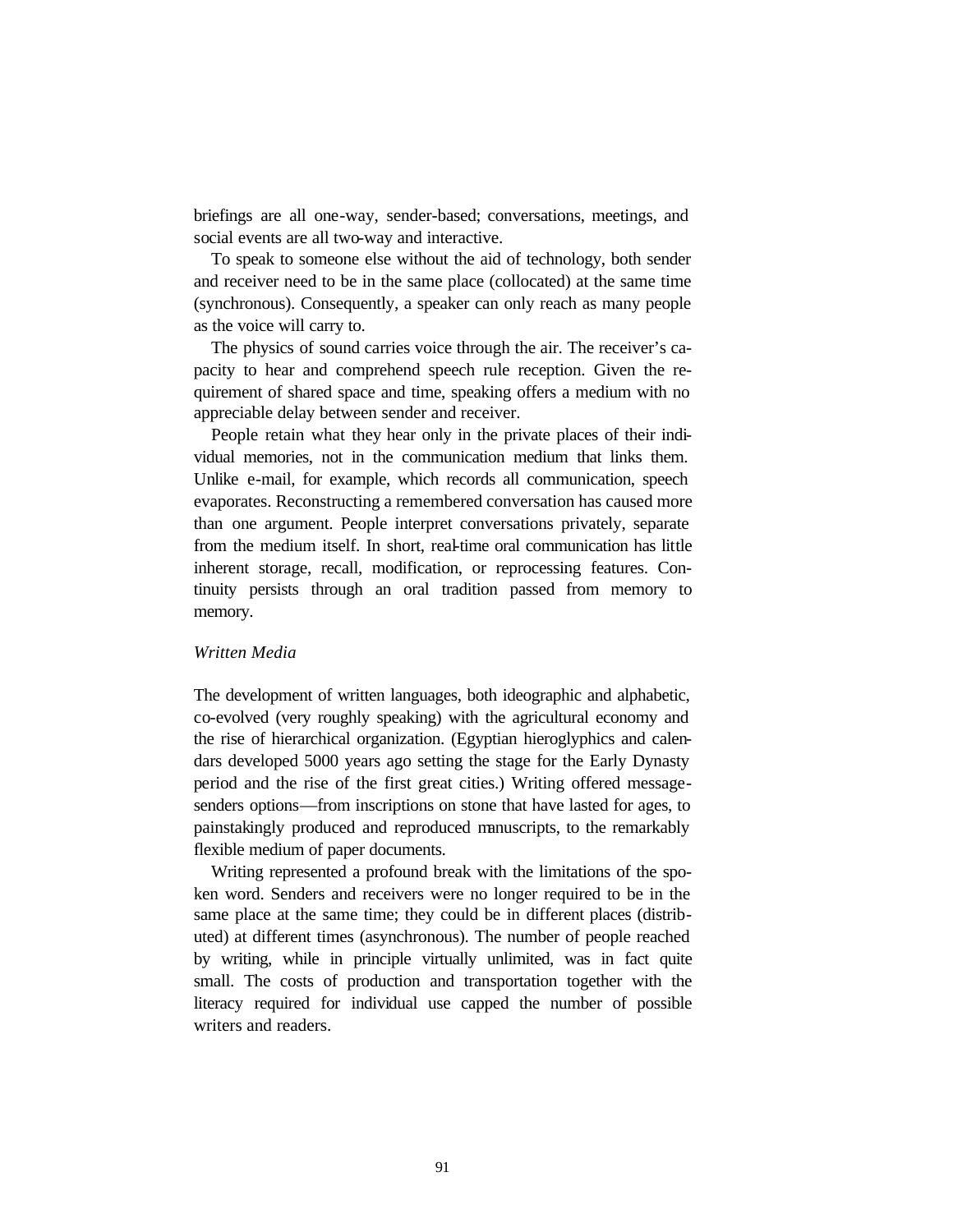briefings are all one-way, sender-based; conversations, meetings, and social events are all two-way and interactive.

To speak to someone else without the aid of technology, both sender and receiver need to be in the same place (collocated) at the same time (synchronous). Consequently, a speaker can only reach as many people as the voice will carry to.

The physics of sound carries voice through the air. The receiver's capacity to hear and comprehend speech rule reception. Given the requirement of shared space and time, speaking offers a medium with no appreciable delay between sender and receiver.

People retain what they hear only in the private places of their individual memories, not in the communication medium that links them. Unlike e-mail, for example, which records all communication, speech evaporates. Reconstructing a remembered conversation has caused more than one argument. People interpret conversations privately, separate from the medium itself. In short, real-time oral communication has little inherent storage, recall, modification, or reprocessing features. Continuity persists through an oral tradition passed from memory to memory.

#### *Written Media*

The development of written languages, both ideographic and alphabetic, co-evolved (very roughly speaking) with the agricultural economy and the rise of hierarchical organization. (Egyptian hieroglyphics and calendars developed 5000 years ago setting the stage for the Early Dynasty period and the rise of the first great cities.) Writing offered messagesenders options—from inscriptions on stone that have lasted for ages, to painstakingly produced and reproduced manuscripts, to the remarkably flexible medium of paper documents.

Writing represented a profound break with the limitations of the spoken word. Senders and receivers were no longer required to be in the same place at the same time; they could be in different places (distributed) at different times (asynchronous). The number of people reached by writing, while in principle virtually unlimited, was in fact quite small. The costs of production and transportation together with the literacy required for individual use capped the number of possible writers and readers.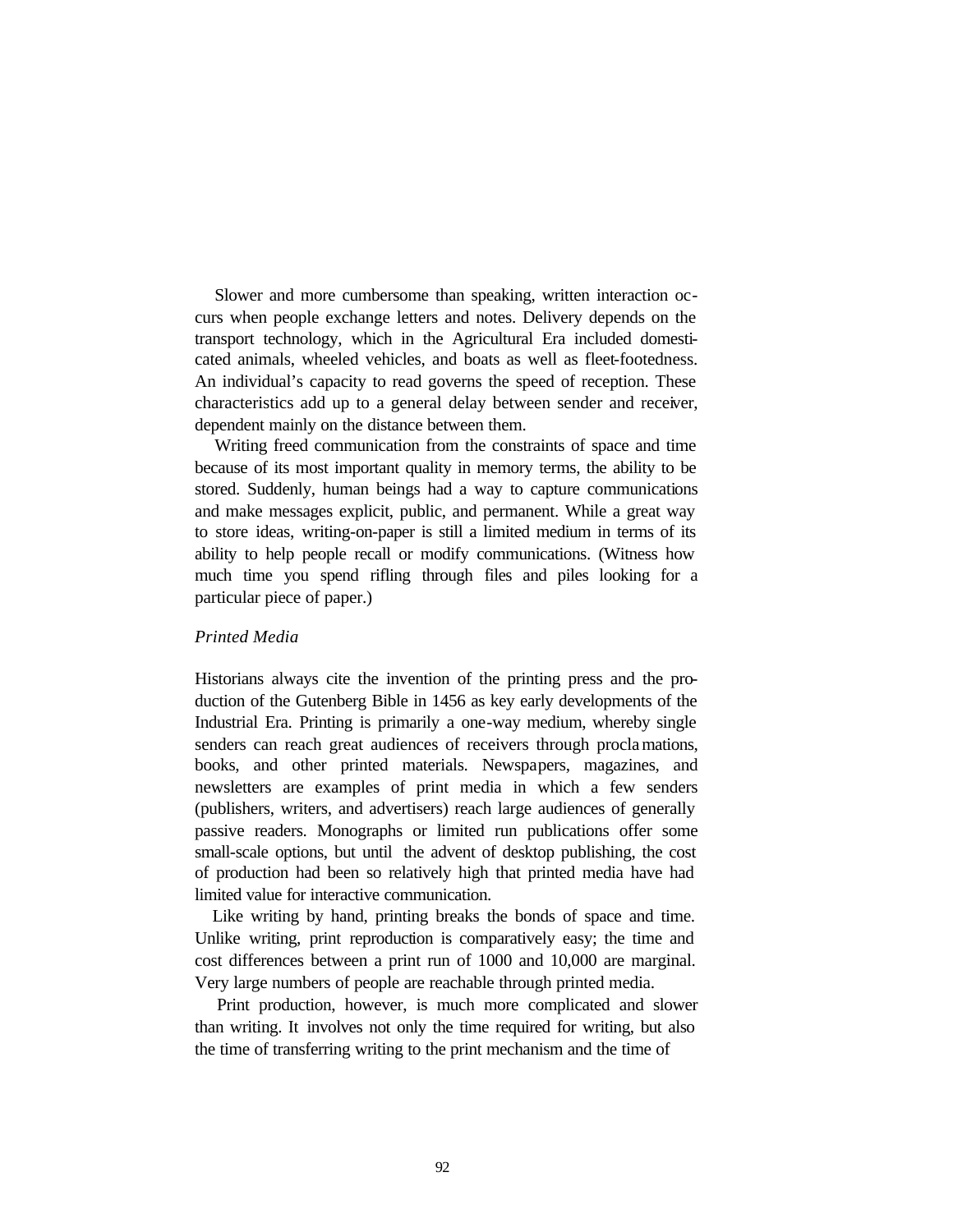Slower and more cumbersome than speaking, written interaction occurs when people exchange letters and notes. Delivery depends on the transport technology, which in the Agricultural Era included domesticated animals, wheeled vehicles, and boats as well as fleet-footedness. An individual's capacity to read governs the speed of reception. These characteristics add up to a general delay between sender and receiver, dependent mainly on the distance between them.

Writing freed communication from the constraints of space and time because of its most important quality in memory terms, the ability to be stored. Suddenly, human beings had a way to capture communications and make messages explicit, public, and permanent. While a great way to store ideas, writing-on-paper is still a limited medium in terms of its ability to help people recall or modify communications. (Witness how much time you spend rifling through files and piles looking for a particular piece of paper.)

### *Printed Media*

Historians always cite the invention of the printing press and the production of the Gutenberg Bible in 1456 as key early developments of the Industrial Era. Printing is primarily a one-way medium, whereby single senders can reach great audiences of receivers through proclamations, books, and other printed materials. Newspapers, magazines, and newsletters are examples of print media in which a few senders (publishers, writers, and advertisers) reach large audiences of generally passive readers. Monographs or limited run publications offer some small-scale options, but until the advent of desktop publishing, the cost of production had been so relatively high that printed media have had limited value for interactive communication.

Like writing by hand, printing breaks the bonds of space and time. Unlike writing, print reproduction is comparatively easy; the time and cost differences between a print run of 1000 and 10,000 are marginal. Very large numbers of people are reachable through printed media.

Print production, however, is much more complicated and slower than writing. It involves not only the time required for writing, but also the time of transferring writing to the print mechanism and the time of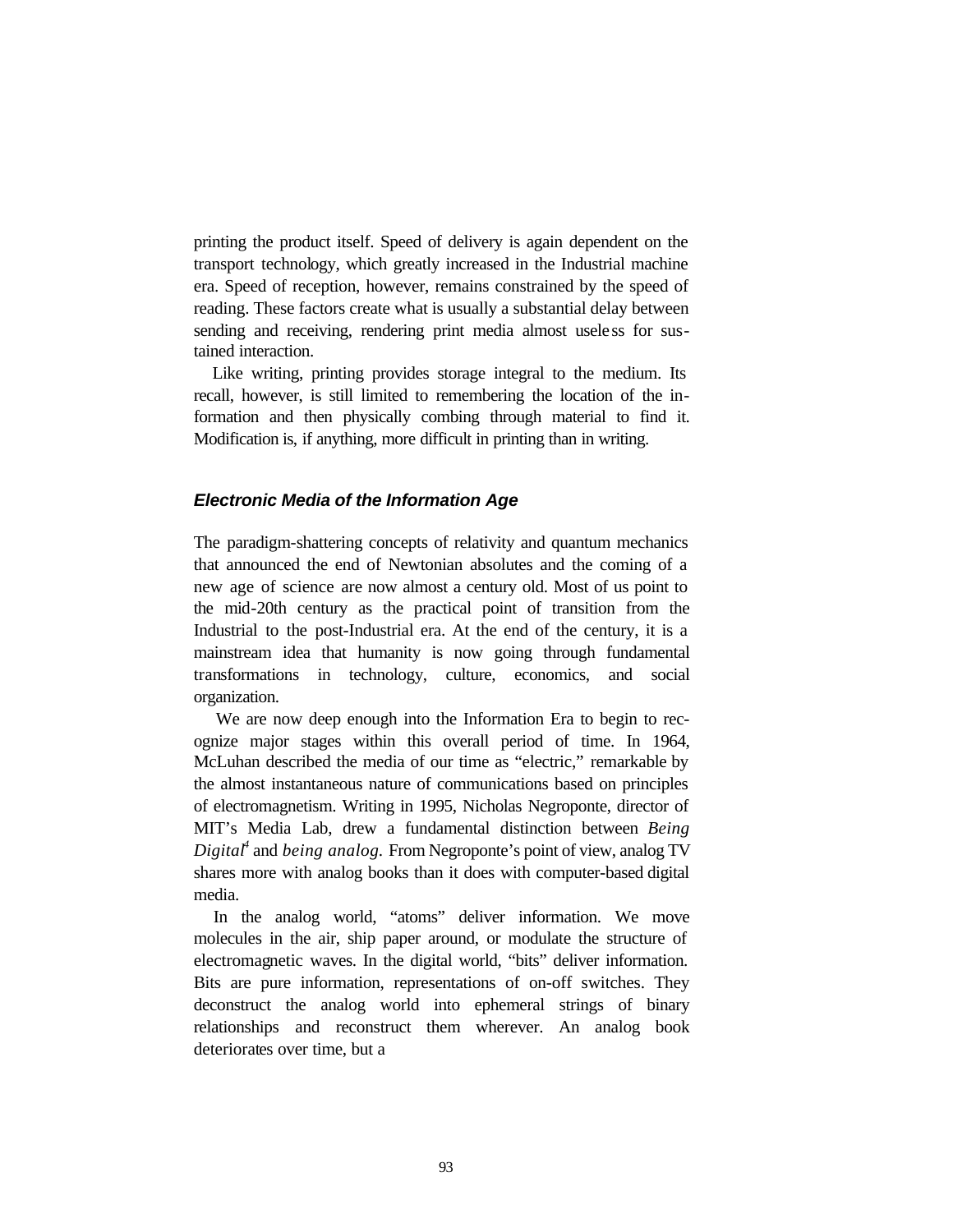printing the product itself. Speed of delivery is again dependent on the transport technology, which greatly increased in the Industrial machine era. Speed of reception, however, remains constrained by the speed of reading. These factors create what is usually a substantial delay between sending and receiving, rendering print media almost useless for sustained interaction.

Like writing, printing provides storage integral to the medium. Its recall, however, is still limited to remembering the location of the information and then physically combing through material to find it. Modification is, if anything, more difficult in printing than in writing.

#### *Electronic Media of the Information Age*

The paradigm-shattering concepts of relativity and quantum mechanics that announced the end of Newtonian absolutes and the coming of a new age of science are now almost a century old. Most of us point to the mid-20th century as the practical point of transition from the Industrial to the post-Industrial era. At the end of the century, it is a mainstream idea that humanity is now going through fundamental transformations in technology, culture, economics, and social organization.

We are now deep enough into the Information Era to begin to recognize major stages within this overall period of time. In 1964, McLuhan described the media of our time as "electric," remarkable by the almost instantaneous nature of communications based on principles of electromagnetism. Writing in 1995, Nicholas Negroponte, director of MIT's Media Lab, drew a fundamental distinction between *Being Digital<sup>4</sup>*and *being analog.* From Negroponte's point of view, analog TV shares more with analog books than it does with computer-based digital media.

In the analog world, "atoms" deliver information. We move molecules in the air, ship paper around, or modulate the structure of electromagnetic waves. In the digital world, "bits" deliver information. Bits are pure information, representations of on-off switches. They deconstruct the analog world into ephemeral strings of binary relationships and reconstruct them wherever. An analog book deteriorates over time, but a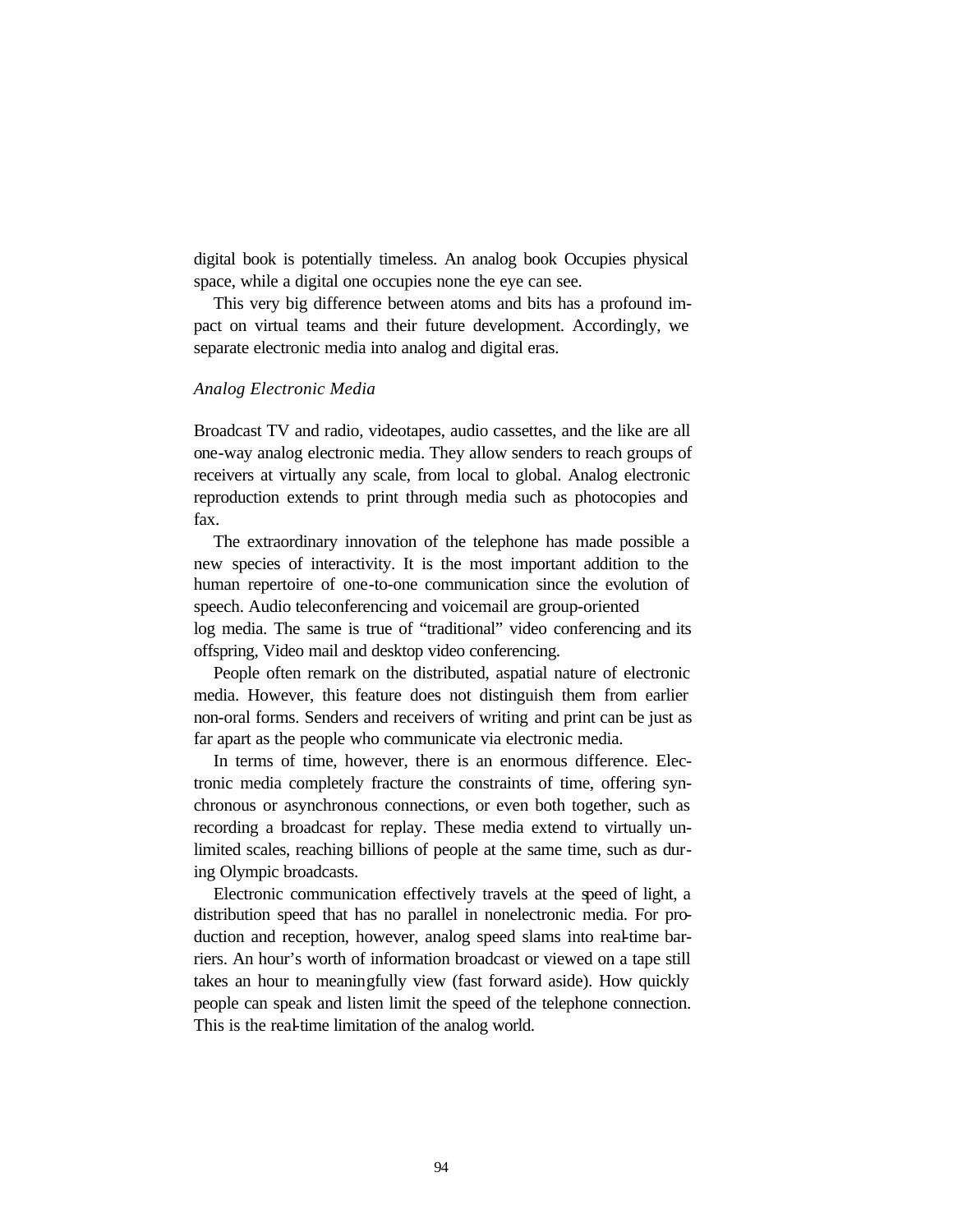digital book is potentially timeless. An analog book Occupies physical space, while a digital one occupies none the eye can see.

This very big difference between atoms and bits has a profound impact on virtual teams and their future development. Accordingly, we separate electronic media into analog and digital eras.

#### *Analog Electronic Media*

Broadcast TV and radio, videotapes, audio cassettes, and the like are all one-way analog electronic media. They allow senders to reach groups of receivers at virtually any scale, from local to global. Analog electronic reproduction extends to print through media such as photocopies and fax.

The extraordinary innovation of the telephone has made possible a new species of interactivity. It is the most important addition to the human repertoire of one-to-one communication since the evolution of speech. Audio teleconferencing and voicemail are group-oriented log media. The same is true of "traditional" video conferencing and its offspring, Video mail and desktop video conferencing.

People often remark on the distributed, aspatial nature of electronic media. However, this feature does not distinguish them from earlier non-oral forms. Senders and receivers of writing and print can be just as far apart as the people who communicate via electronic media.

In terms of time, however, there is an enormous difference. Electronic media completely fracture the constraints of time, offering synchronous or asynchronous connections, or even both together, such as recording a broadcast for replay. These media extend to virtually unlimited scales, reaching billions of people at the same time, such as during Olympic broadcasts.

Electronic communication effectively travels at the speed of light, a distribution speed that has no parallel in nonelectronic media. For production and reception, however, analog speed slams into real-time barriers. An hour's worth of information broadcast or viewed on a tape still takes an hour to meaningfully view (fast forward aside). How quickly people can speak and listen limit the speed of the telephone connection. This is the real-time limitation of the analog world.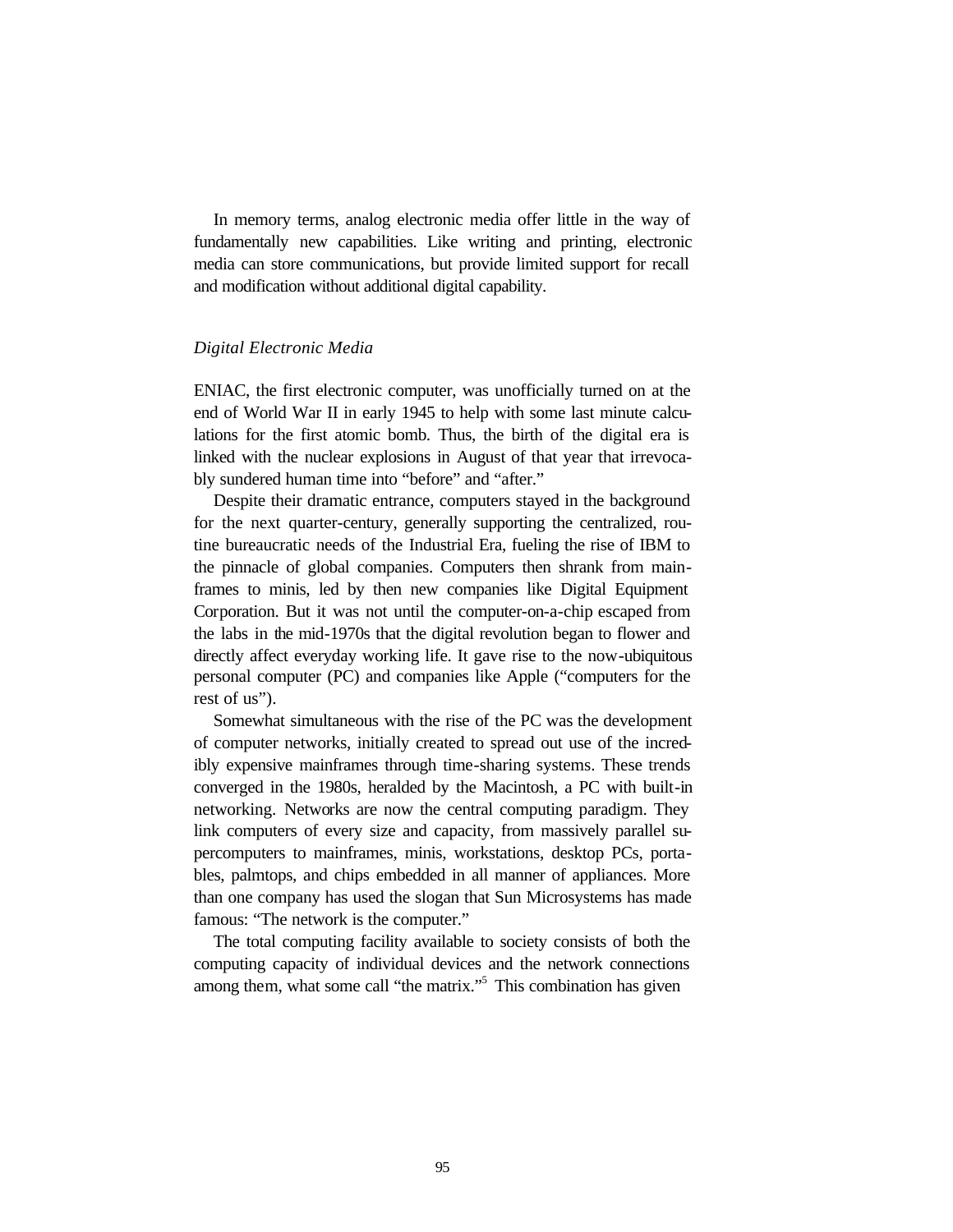In memory terms, analog electronic media offer little in the way of fundamentally new capabilities. Like writing and printing, electronic media can store communications, but provide limited support for recall and modification without additional digital capability.

#### *Digital Electronic Media*

ENIAC, the first electronic computer, was unofficially turned on at the end of World War II in early 1945 to help with some last minute calculations for the first atomic bomb. Thus, the birth of the digital era is linked with the nuclear explosions in August of that year that irrevocably sundered human time into "before" and "after."

Despite their dramatic entrance, computers stayed in the background for the next quarter-century, generally supporting the centralized, routine bureaucratic needs of the Industrial Era, fueling the rise of IBM to the pinnacle of global companies. Computers then shrank from mainframes to minis, led by then new companies like Digital Equipment Corporation. But it was not until the computer-on-a-chip escaped from the labs in the mid-1970s that the digital revolution began to flower and directly affect everyday working life. It gave rise to the now-ubiquitous personal computer (PC) and companies like Apple ("computers for the rest of us").

Somewhat simultaneous with the rise of the PC was the development of computer networks, initially created to spread out use of the incredibly expensive mainframes through time-sharing systems. These trends converged in the 1980s, heralded by the Macintosh, a PC with built-in networking. Networks are now the central computing paradigm. They link computers of every size and capacity, from massively parallel supercomputers to mainframes, minis, workstations, desktop PCs, portables, palmtops, and chips embedded in all manner of appliances. More than one company has used the slogan that Sun Microsystems has made famous: "The network is the computer."

The total computing facility available to society consists of both the computing capacity of individual devices and the network connections among them, what some call "the matrix."<sup>5</sup> This combination has given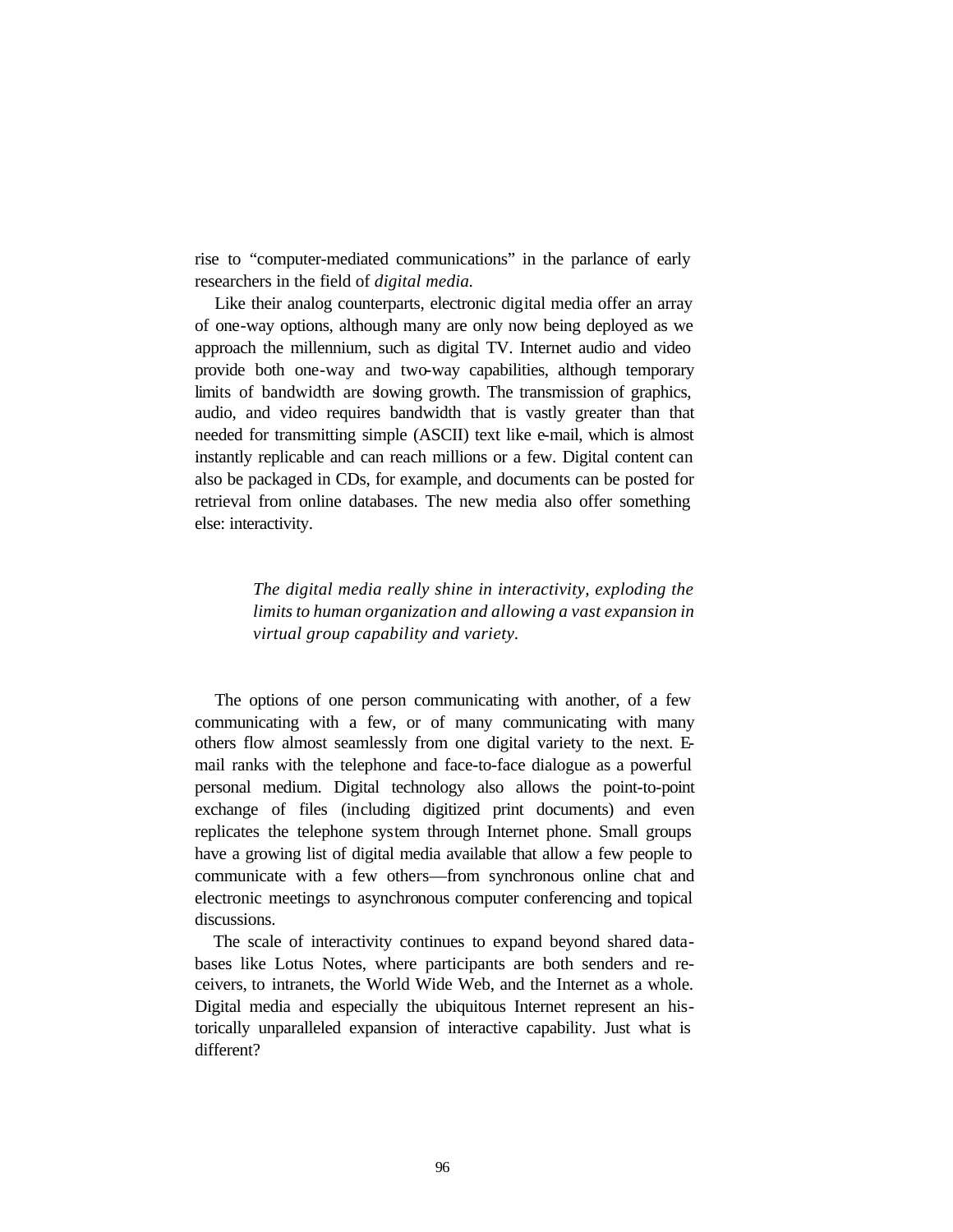rise to "computer-mediated communications" in the parlance of early researchers in the field of *digital media.*

Like their analog counterparts, electronic digital media offer an array of one-way options, although many are only now being deployed as we approach the millennium, such as digital TV. Internet audio and video provide both one-way and two-way capabilities, although temporary limits of bandwidth are slowing growth. The transmission of graphics, audio, and video requires bandwidth that is vastly greater than that needed for transmitting simple (ASCII) text like e-mail, which is almost instantly replicable and can reach millions or a few. Digital content can also be packaged in CDs, for example, and documents can be posted for retrieval from online databases. The new media also offer something else: interactivity.

> *The digital media really shine in interactivity, exploding the limits to human organization and allowing a vast expansion in virtual group capability and variety.*

The options of one person communicating with another, of a few communicating with a few, or of many communicating with many others flow almost seamlessly from one digital variety to the next. Email ranks with the telephone and face-to-face dialogue as a powerful personal medium. Digital technology also allows the point-to-point exchange of files (including digitized print documents) and even replicates the telephone system through Internet phone. Small groups have a growing list of digital media available that allow a few people to communicate with a few others—from synchronous online chat and electronic meetings to asynchronous computer conferencing and topical discussions.

The scale of interactivity continues to expand beyond shared databases like Lotus Notes, where participants are both senders and receivers, to intranets, the World Wide Web, and the Internet as a whole. Digital media and especially the ubiquitous Internet represent an historically unparalleled expansion of interactive capability. Just what is different?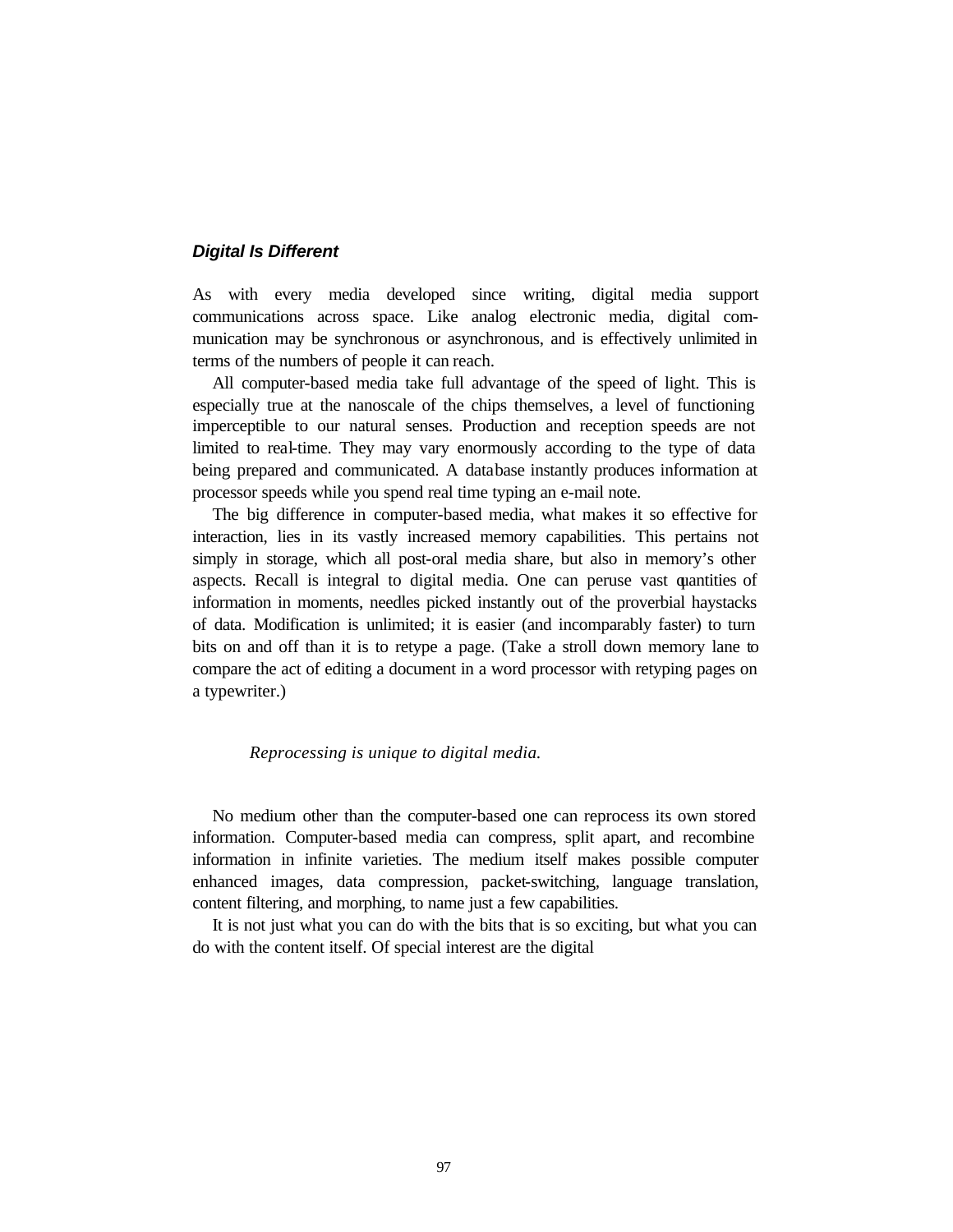#### *Digital Is Different*

As with every media developed since writing, digital media support communications across space. Like analog electronic media, digital communication may be synchronous or asynchronous, and is effectively unlimited in terms of the numbers of people it can reach.

All computer-based media take full advantage of the speed of light. This is especially true at the nanoscale of the chips themselves, a level of functioning imperceptible to our natural senses. Production and reception speeds are not limited to real-time. They may vary enormously according to the type of data being prepared and communicated. A database instantly produces information at processor speeds while you spend real time typing an e-mail note.

The big difference in computer-based media, what makes it so effective for interaction, lies in its vastly increased memory capabilities. This pertains not simply in storage, which all post-oral media share, but also in memory's other aspects. Recall is integral to digital media. One can peruse vast quantities of information in moments, needles picked instantly out of the proverbial haystacks of data. Modification is unlimited; it is easier (and incomparably faster) to turn bits on and off than it is to retype a page. (Take a stroll down memory lane to compare the act of editing a document in a word processor with retyping pages on a typewriter.)

#### *Reprocessing is unique to digital media.*

No medium other than the computer-based one can reprocess its own stored information. Computer-based media can compress, split apart, and recombine information in infinite varieties. The medium itself makes possible computer enhanced images, data compression, packet-switching, language translation, content filtering, and morphing, to name just a few capabilities.

It is not just what you can do with the bits that is so exciting, but what you can do with the content itself. Of special interest are the digital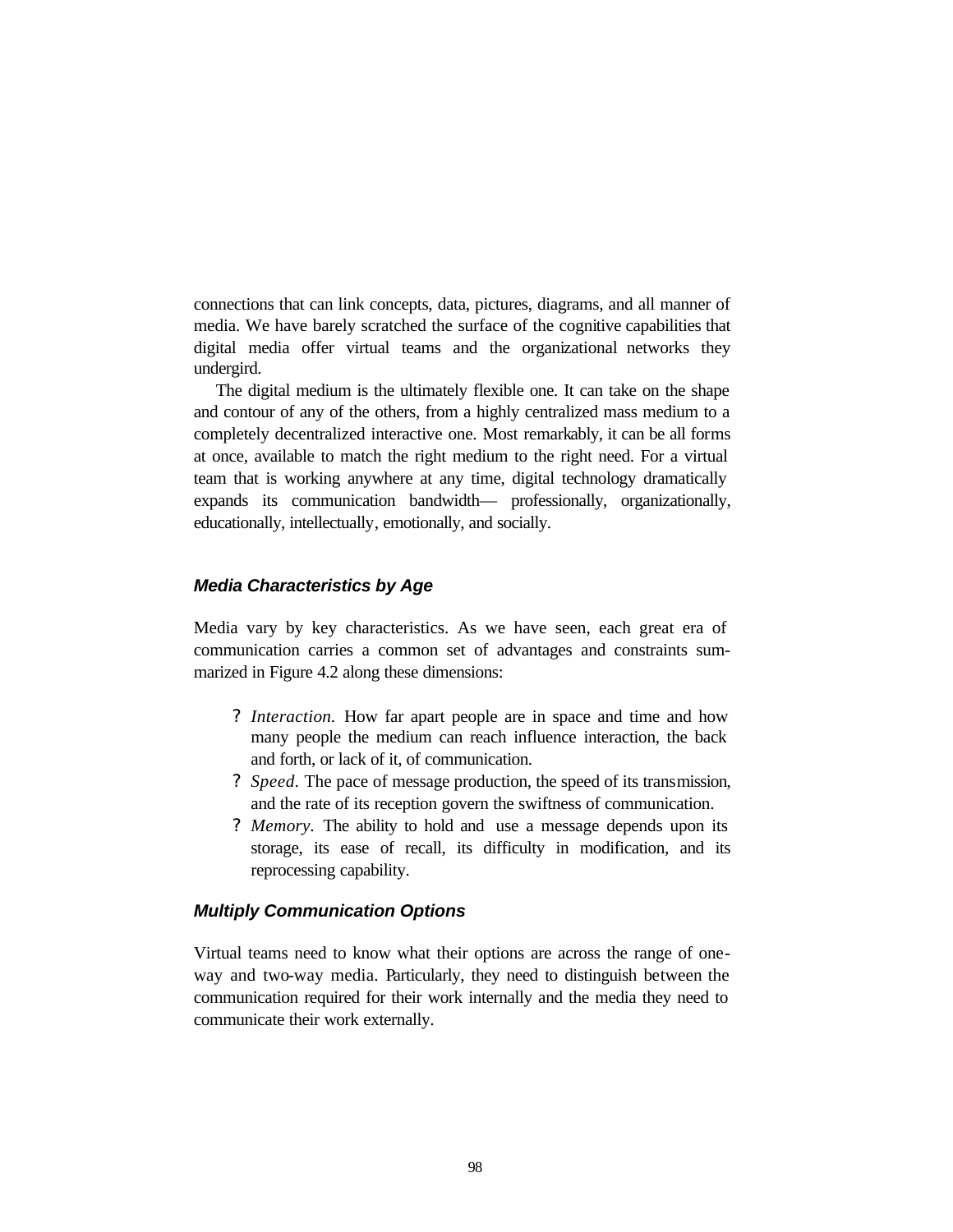connections that can link concepts, data, pictures, diagrams, and all manner of media. We have barely scratched the surface of the cognitive capabilities that digital media offer virtual teams and the organizational networks they undergird.

The digital medium is the ultimately flexible one. It can take on the shape and contour of any of the others, from a highly centralized mass medium to a completely decentralized interactive one. Most remarkably, it can be all forms at once, available to match the right medium to the right need. For a virtual team that is working anywhere at any time, digital technology dramatically expands its communication bandwidth— professionally, organizationally, educationally, intellectually, emotionally, and socially.

## *Media Characteristics by Age*

Media vary by key characteristics. As we have seen, each great era of communication carries a common set of advantages and constraints summarized in Figure 4.2 along these dimensions:

- *? Interaction.* How far apart people are in space and time and how many people the medium can reach influence interaction, the back and forth, or lack of it, of communication.
- *? Speed.* The pace of message production, the speed of its transmission, and the rate of its reception govern the swiftness of communication.
- *? Memory.* The ability to hold and use a message depends upon its storage, its ease of recall, its difficulty in modification, and its reprocessing capability.

#### *Multiply Communication Options*

Virtual teams need to know what their options are across the range of oneway and two-way media. Particularly, they need to distinguish between the communication required for their work internally and the media they need to communicate their work externally.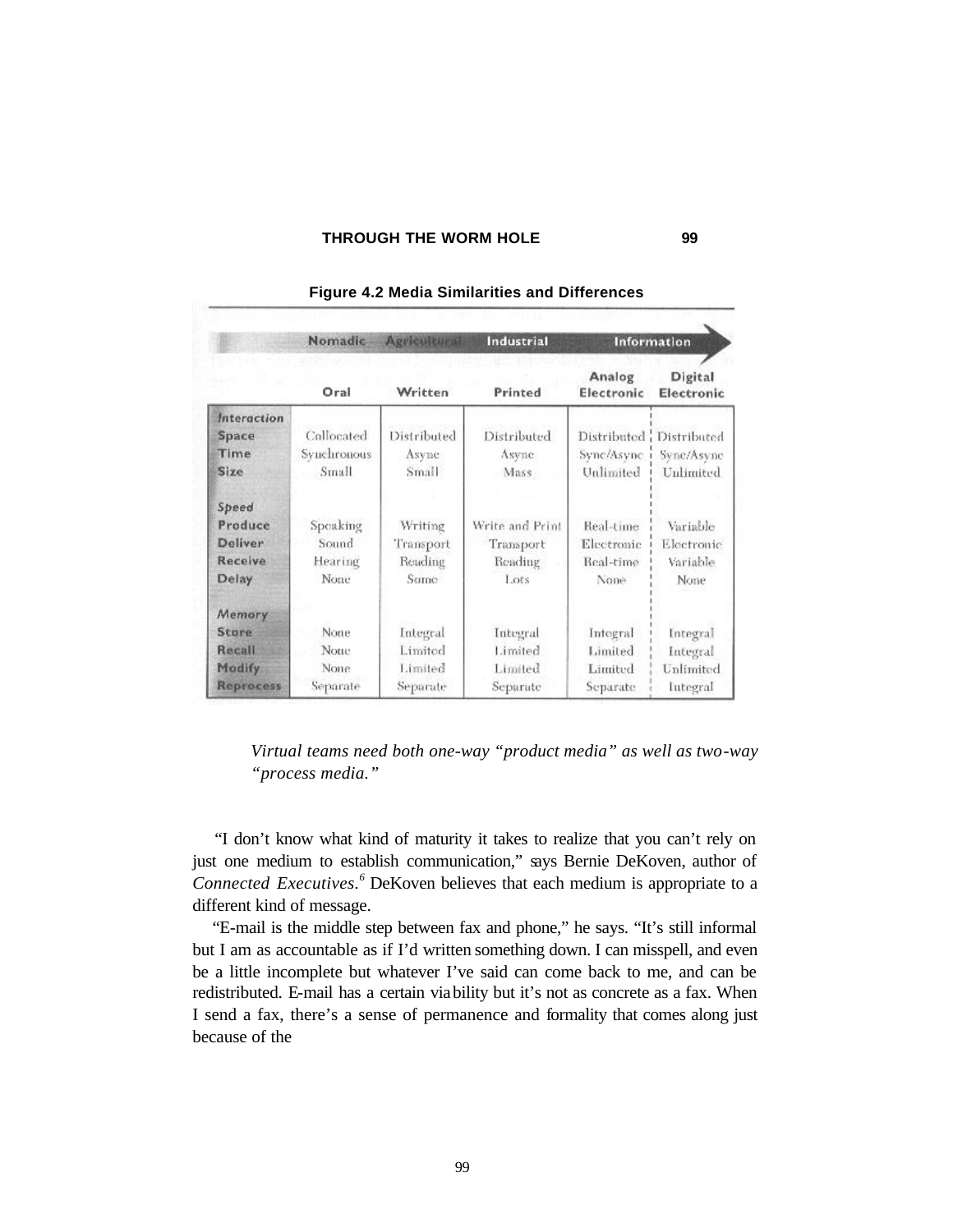|                  | <b>Nomadic</b><br>Oral | Agriculty   | <b>Industrial</b>  | Information          |                       |
|------------------|------------------------|-------------|--------------------|----------------------|-----------------------|
|                  |                        | Written     | Printed            | Analog<br>Electronic | Digital<br>Electronic |
| Interaction      |                        |             |                    |                      |                       |
| Space            | Collocated             | Distributed | <b>Distributed</b> | Distributed          | Distributed           |
| Time             | Synchronous            | Asyne       | Async.             | Sync/Async           | Sync/Async            |
| Size             | Small                  | Small       | Mass               | Unlimited            | Unlimited             |
| Speed            |                        |             |                    |                      |                       |
| Produce          | Speaking               | Writing     | Write and Print    | Real-time            | Variable              |
| <b>Deliver</b>   | Sound.                 | Transport   | Transport          | Electronic           | Electronic            |
| Receive          | Hearing                | Reading     | Reading            | Real-time            | Variable              |
| Delay            | None <sup>®</sup>      | Some        | Lots               | None                 | Name                  |
| Memory           |                        |             |                    |                      |                       |
| Store            | None                   | Integral    | Integral           | Integral             | Integral              |
| Recall           | None                   | Limited     | Limited            | Limited              | Integral              |
| Modify           | <b>None</b>            | Limited     | Limited            | Limited              | Unlimited             |
| <b>Reprocess</b> | Separate               | Separate    | Separate           | Separate             | Integral              |

**Figure 4.2 Media Similarities and Differences**

*Virtual teams need both one-way "product media" as well as two-way "process media."*

"I don't know what kind of maturity it takes to realize that you can't rely on just one medium to establish communication," says Bernie DeKoven, author of *Connected Executives.*<sup>6</sup> DeKoven believes that each medium is appropriate to a different kind of message.

"E-mail is the middle step between fax and phone," he says. "It's still informal but I am as accountable as if I'd written something down. I can misspell, and even be a little incomplete but whatever I've said can come back to me, and can be redistributed. E-mail has a certain viability but it's not as concrete as a fax. When I send a fax, there's a sense of permanence and formality that comes along just because of the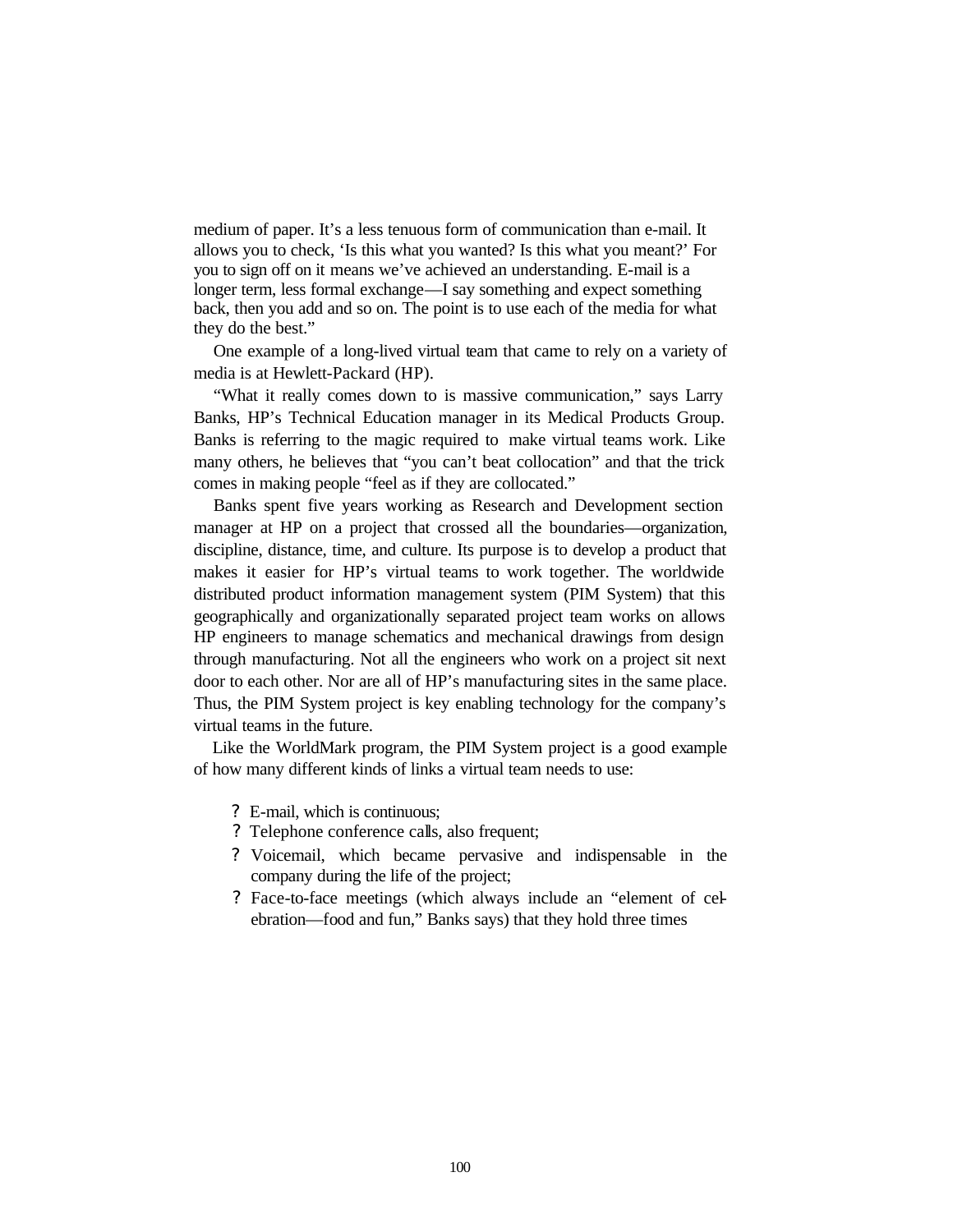medium of paper. It's a less tenuous form of communication than e-mail. It allows you to check, 'Is this what you wanted? Is this what you meant?' For you to sign off on it means we've achieved an understanding. E-mail is a longer term, less formal exchange—I say something and expect something back, then you add and so on. The point is to use each of the media for what they do the best."

One example of a long-lived virtual team that came to rely on a variety of media is at Hewlett-Packard (HP).

"What it really comes down to is massive communication," says Larry Banks, HP's Technical Education manager in its Medical Products Group. Banks is referring to the magic required to make virtual teams work. Like many others, he believes that "you can't beat collocation" and that the trick comes in making people "feel as if they are collocated."

Banks spent five years working as Research and Development section manager at HP on a project that crossed all the boundaries—organization, discipline, distance, time, and culture. Its purpose is to develop a product that makes it easier for HP's virtual teams to work together. The worldwide distributed product information management system (PIM System) that this geographically and organizationally separated project team works on allows HP engineers to manage schematics and mechanical drawings from design through manufacturing. Not all the engineers who work on a project sit next door to each other. Nor are all of HP's manufacturing sites in the same place. Thus, the PIM System project is key enabling technology for the company's virtual teams in the future.

Like the WorldMark program, the PIM System project is a good example of how many different kinds of links a virtual team needs to use:

- ? E-mail, which is continuous;
- ? Telephone conference calls, also frequent;
- ? Voicemail, which became pervasive and indispensable in the company during the life of the project;
- ? Face-to-face meetings (which always include an "element of celebration—food and fun," Banks says) that they hold three times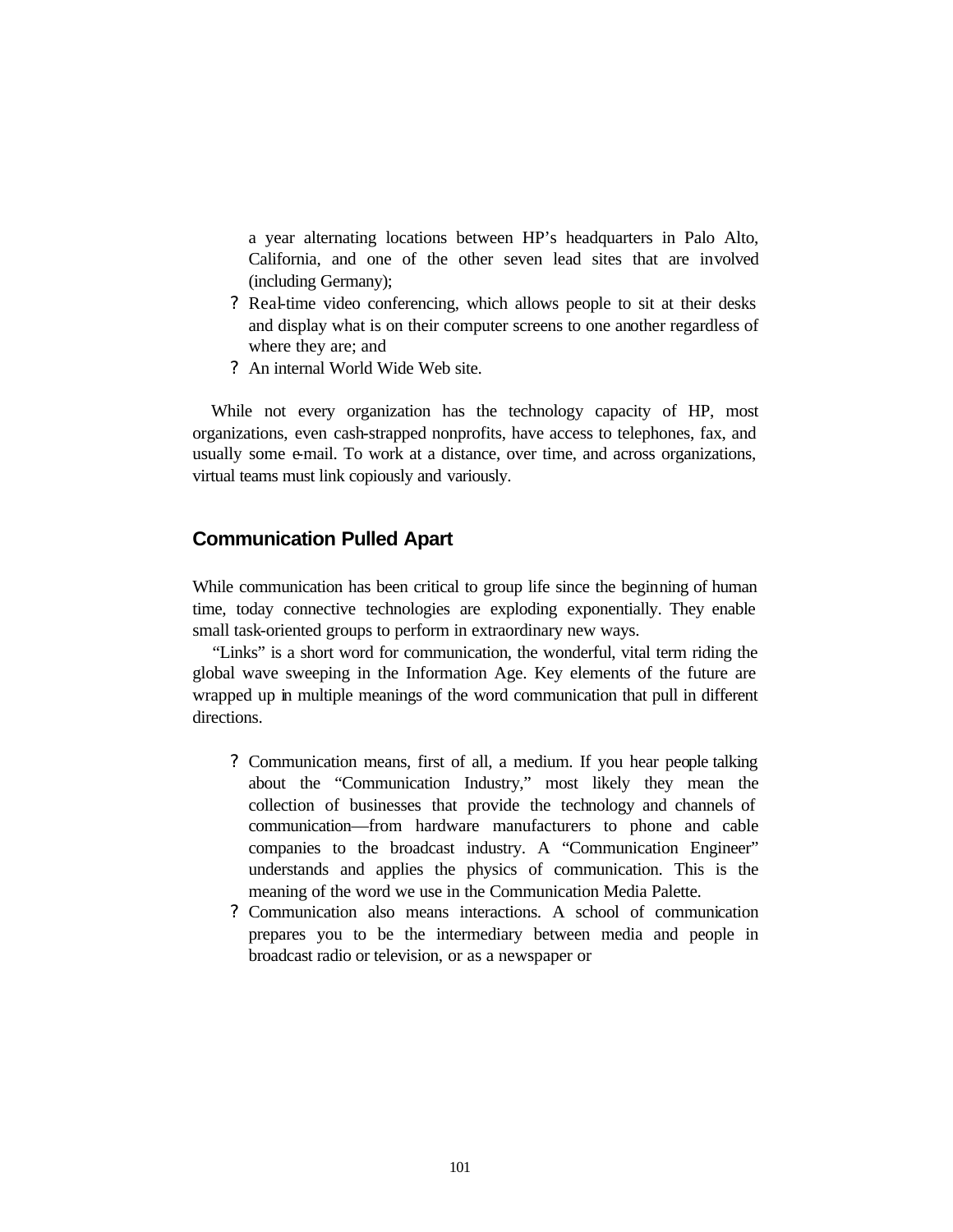a year alternating locations between HP's headquarters in Palo Alto, California, and one of the other seven lead sites that are involved (including Germany);

- ? Real-time video conferencing, which allows people to sit at their desks and display what is on their computer screens to one another regardless of where they are; and
- ? An internal World Wide Web site.

While not every organization has the technology capacity of HP, most organizations, even cash-strapped nonprofits, have access to telephones, fax, and usually some e-mail. To work at a distance, over time, and across organizations, virtual teams must link copiously and variously.

## **Communication Pulled Apart**

While communication has been critical to group life since the beginning of human time, today connective technologies are exploding exponentially. They enable small task-oriented groups to perform in extraordinary new ways.

"Links" is a short word for communication, the wonderful, vital term riding the global wave sweeping in the Information Age. Key elements of the future are wrapped up in multiple meanings of the word communication that pull in different directions.

- ? Communication means, first of all, a medium. If you hear people talking about the "Communication Industry," most likely they mean the collection of businesses that provide the technology and channels of communication—from hardware manufacturers to phone and cable companies to the broadcast industry. A "Communication Engineer" understands and applies the physics of communication. This is the meaning of the word we use in the Communication Media Palette.
- ? Communication also means interactions. A school of communication prepares you to be the intermediary between media and people in broadcast radio or television, or as a newspaper or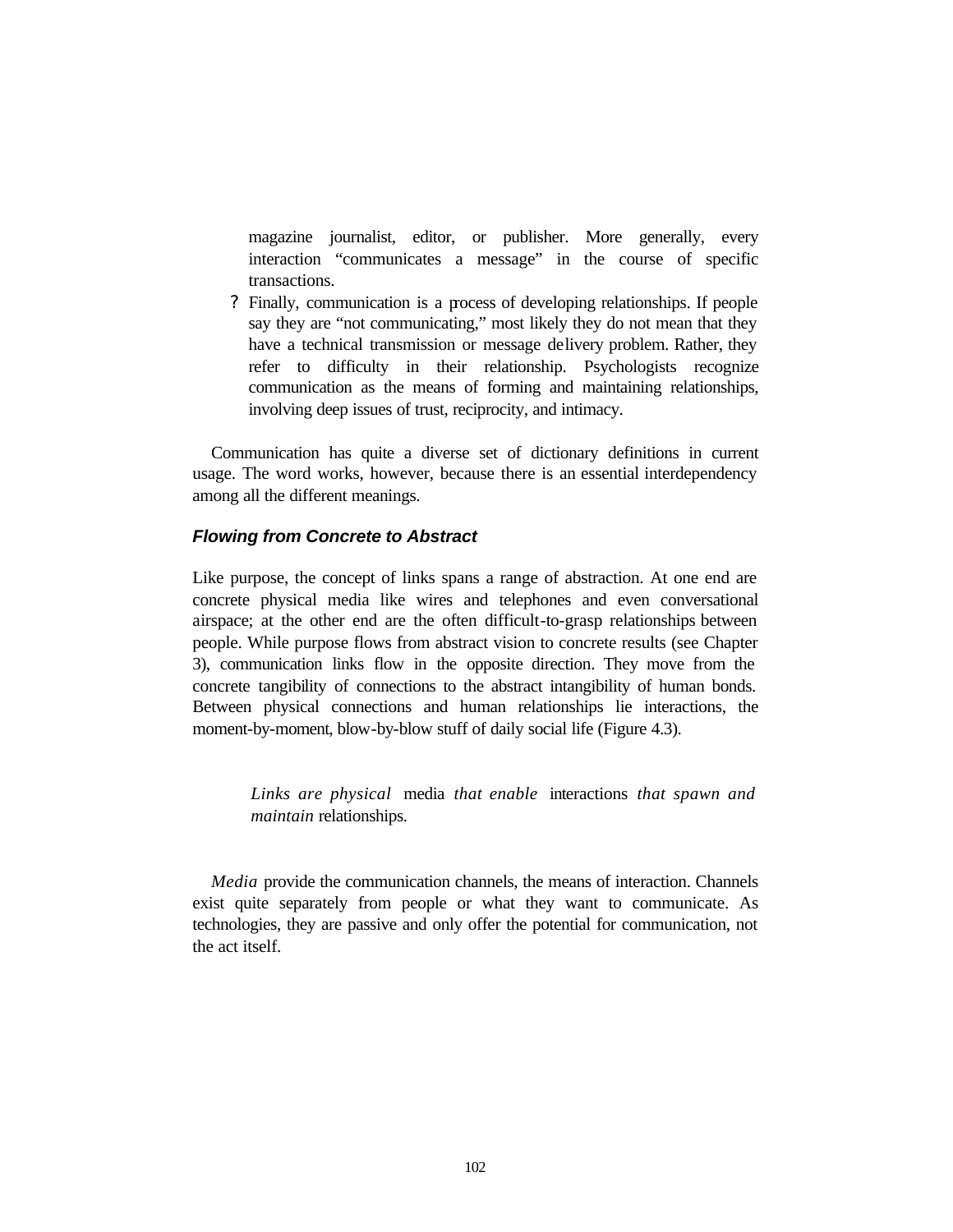magazine journalist, editor, or publisher. More generally, every interaction "communicates a message" in the course of specific transactions.

? Finally, communication is a process of developing relationships. If people say they are "not communicating," most likely they do not mean that they have a technical transmission or message delivery problem. Rather, they refer to difficulty in their relationship. Psychologists recognize communication as the means of forming and maintaining relationships, involving deep issues of trust, reciprocity, and intimacy.

Communication has quite a diverse set of dictionary definitions in current usage. The word works, however, because there is an essential interdependency among all the different meanings.

#### *Flowing from Concrete to Abstract*

Like purpose, the concept of links spans a range of abstraction. At one end are concrete physical media like wires and telephones and even conversational airspace; at the other end are the often difficult-to-grasp relationships between people. While purpose flows from abstract vision to concrete results (see Chapter 3), communication links flow in the opposite direction. They move from the concrete tangibility of connections to the abstract intangibility of human bonds. Between physical connections and human relationships lie interactions, the moment-by-moment, blow-by-blow stuff of daily social life (Figure 4.3).

*Links are physical* media *that enable* interactions *that spawn and maintain* relationships.

*Media* provide the communication channels, the means of interaction. Channels exist quite separately from people or what they want to communicate. As technologies, they are passive and only offer the potential for communication, not the act itself.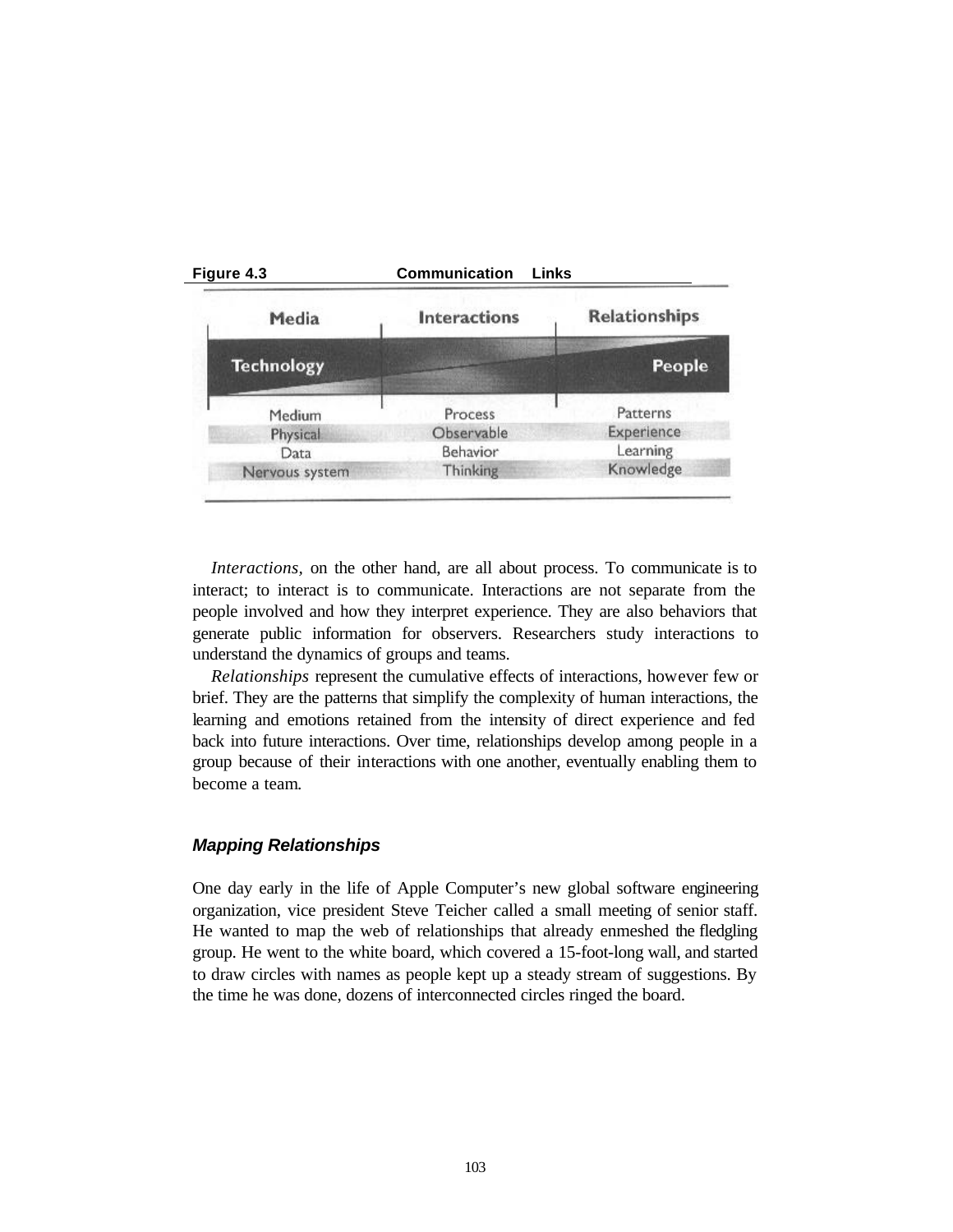| Figure 4.3        | <b>Communication</b> | <b>Links</b>         |  |
|-------------------|----------------------|----------------------|--|
| Media             | <b>Interactions</b>  | <b>Relationships</b> |  |
| <b>Technology</b> |                      | People               |  |
| Medium            | Process              | Patterns             |  |
| Physical          | Observable           | Experience           |  |
| Data              | Behavior             | Learning             |  |
| Nervous system    | <b>Thinking</b>      | Knowledge            |  |
|                   |                      |                      |  |

*Interactions,* on the other hand, are all about process. To communicate is to interact; to interact is to communicate. Interactions are not separate from the people involved and how they interpret experience. They are also behaviors that generate public information for observers. Researchers study interactions to understand the dynamics of groups and teams.

*Relationships* represent the cumulative effects of interactions, however few or brief. They are the patterns that simplify the complexity of human interactions, the learning and emotions retained from the intensity of direct experience and fed back into future interactions. Over time, relationships develop among people in a group because of their interactions with one another, eventually enabling them to become a team.

## *Mapping Relationships*

One day early in the life of Apple Computer's new global software engineering organization, vice president Steve Teicher called a small meeting of senior staff. He wanted to map the web of relationships that already enmeshed the fledgling group. He went to the white board, which covered a 15-foot-long wall, and started to draw circles with names as people kept up a steady stream of suggestions. By the time he was done, dozens of interconnected circles ringed the board.